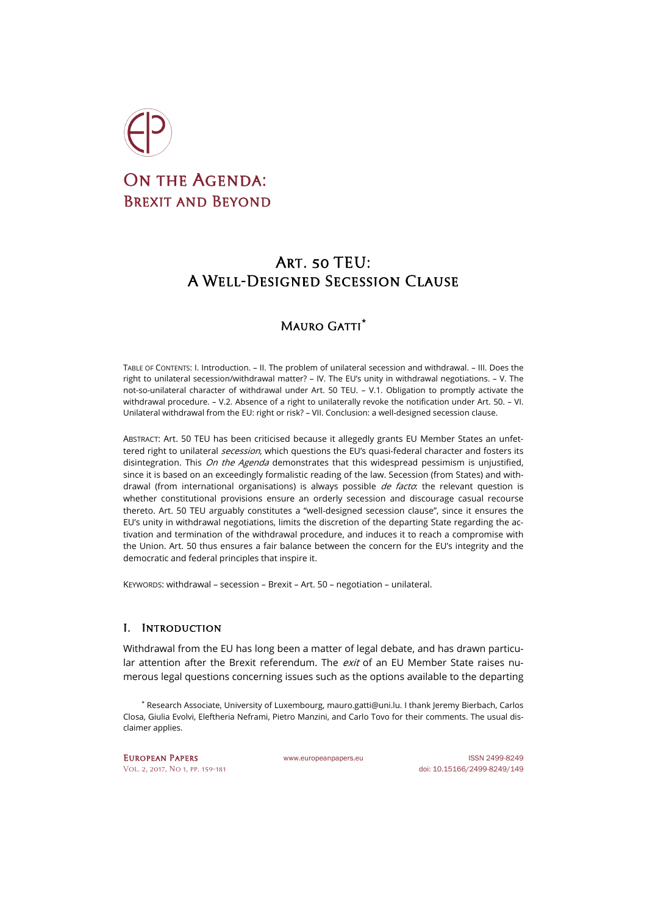

# ON THE AGENDA: BREXIT AND BEYOND

## Art. 50 TEU: A Well-Designed Secession Clause

## Mauro Gatti**[\\*](#page-0-0)**

TABLE OF CONTENTS: I. Introduction. – II. The problem of unilateral secession and withdrawal. – III. Does the right to unilateral secession/withdrawal matter? – IV. The EU's unity in withdrawal negotiations. – V. The not-so-unilateral character of withdrawal under Art. 50 TEU. – V.1. Obligation to promptly activate the withdrawal procedure. – V.2. Absence of a right to unilaterally revoke the notification under Art. 50. – VI. Unilateral withdrawal from the EU: right or risk? – VII. Conclusion: a well-designed secession clause.

ABSTRACT: Art. 50 TEU has been criticised because it allegedly grants EU Member States an unfettered right to unilateral *secession*, which questions the EU's quasi-federal character and fosters its disintegration. This On the Agenda demonstrates that this widespread pessimism is unjustified, since it is based on an exceedingly formalistic reading of the law. Secession (from States) and withdrawal (from international organisations) is always possible *de facto*: the relevant question is whether constitutional provisions ensure an orderly secession and discourage casual recourse thereto. Art. 50 TEU arguably constitutes a "well-designed secession clause", since it ensures the EU's unity in withdrawal negotiations, limits the discretion of the departing State regarding the activation and termination of the withdrawal procedure, and induces it to reach a compromise with the Union. Art. 50 thus ensures a fair balance between the concern for the EU's integrity and the democratic and federal principles that inspire it.

KEYWORDS: withdrawal – secession – Brexit – Art. 50 – negotiation – unilateral.

## I. Introduction

Withdrawal from the EU has long been a matter of legal debate, and has drawn particular attention after the Brexit referendum. The *exit* of an EU Member State raises numerous legal questions concerning issues such as the options available to the departing

<span id="page-0-0"></span>\* Research Associate, University of Luxembourg[, mauro.gatti@uni.lu.](mailto:mauro.gatti@uni.lu) I thank Jeremy Bierbach, Carlos Closa, Giulia Evolvi, Eleftheria Neframi, Pietro Manzini, and Carlo Tovo for their comments. The usual disclaimer applies.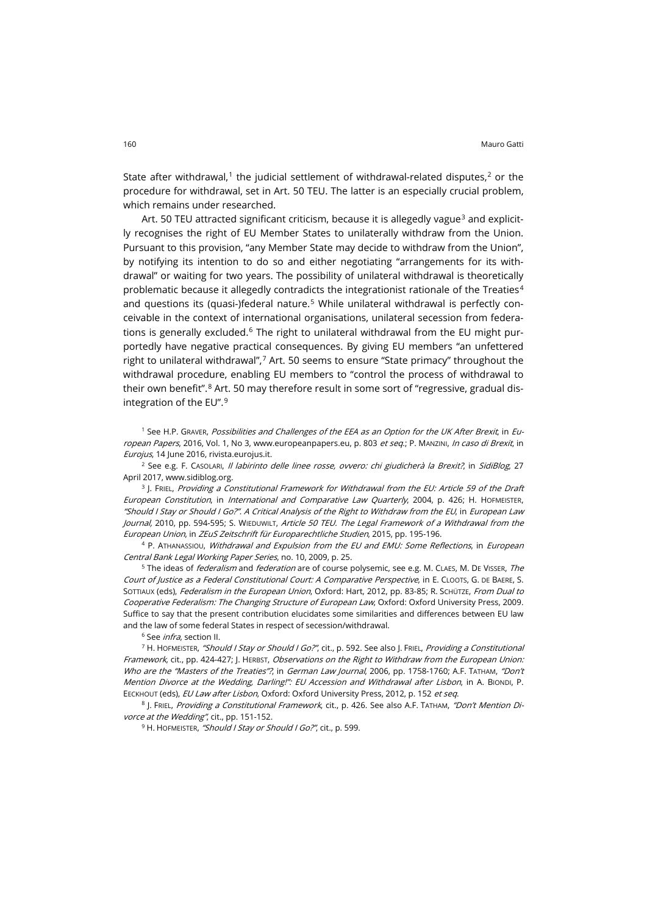State after withdrawal,<sup>[1](#page-1-0)</sup> the judicial settlement of withdrawal-related disputes, $2$  or the procedure for withdrawal, set in Art. 50 TEU. The latter is an especially crucial problem, which remains under researched.

Art. 50 TEU attracted significant criticism, because it is allegedly vague<sup>[3](#page-1-2)</sup> and explicitly recognises the right of EU Member States to unilaterally withdraw from the Union. Pursuant to this provision, "any Member State may decide to withdraw from the Union", by notifying its intention to do so and either negotiating "arrangements for its withdrawal" or waiting for two years. The possibility of unilateral withdrawal is theoretically problematic because it allegedly contradicts the integrationist rationale of the Treaties<sup>[4](#page-1-3)</sup> and questions its (quasi-)federal nature.<sup>[5](#page-1-4)</sup> While unilateral withdrawal is perfectly conceivable in the context of international organisations, unilateral secession from federa-tions is generally excluded.<sup>[6](#page-1-5)</sup> The right to unilateral withdrawal from the EU might purportedly have negative practical consequences. By giving EU members "an unfettered right to unilateral withdrawal",[7](#page-1-6) Art. 50 seems to ensure "State primacy" throughout the withdrawal procedure, enabling EU members to "control the process of withdrawal to their own benefit".<sup>[8](#page-1-7)</sup> Art. 50 may therefore result in some sort of "regressive, gradual disintegration of the EU". [9](#page-1-8)

<span id="page-1-0"></span><sup>1</sup> See H.P. GRAVER, Possibilities and Challenges of the EEA as an Option for the UK After Brexit, in Eu-ropean Papers, 2016, Vol. 1, No 3[, www.europeanpapers.eu,](http://www.europeanpapers.eu/en/e-journal/possibilities-and-challenges-of-the-eea-as-an-option-for-the-uk-after-brexit) p. 803 et seq.; P. MANZINI, In caso di Brexit, in Eurojus, 14 June 2016, [rivista.eurojus.it.](http://rivista.eurojus.it/in-caso-di-brexit/)

<span id="page-1-1"></span><sup>2</sup> See e.g. F. CASOLARI, Il labirinto delle linee rosse, ovvero: chi giudicherà la Brexit?, in SidiBlog, 27 April 2017, [www.sidiblog.org.](http://www.sidiblog.org/2017/04/27/il-labirinto-delle-linee-rosse-ovvero-chi-giudichera-la-brexit/)

<span id="page-1-2"></span> $3$  ]. FRIEL, Providing a Constitutional Framework for Withdrawal from the EU: Article 59 of the Draft European Constitution, in International and Comparative Law Quarterly, 2004, p. 426; H. HOFMEISTER, "Should I Stay or Should I Go?". A Critical Analysis of the Right to Withdraw from the EU, in European Law Journal, 2010, pp. 594-595; S. WIEDUWILT, Article 50 TEU. The Legal Framework of a Withdrawal from the European Union, in ZEuS Zeitschrift für Europarechtliche Studien, 2015, pp. 195-196.

<span id="page-1-3"></span>4 P. ATHANASSIOU, Withdrawal and Expulsion from the EU and EMU: Some Reflections, in European Central Bank Legal Working Paper Series, no. 10, 2009, p. 25.

<span id="page-1-4"></span><sup>5</sup> The ideas of *federalism* and *federation* are of course polysemic, see e.g. M. CLAES, M. DE VISSER, The Court of Justice as a Federal Constitutional Court: A Comparative Perspective, in E. CLOOTS, G. DE BAERE, S. SOTTIAUX (eds), Federalism in the European Union, Oxford: Hart, 2012, pp. 83-85; R. SCHÜTZE, From Dual to Cooperative Federalism: The Changing Structure of European Law, Oxford: Oxford University Press, 2009. Suffice to say that the present contribution elucidates some similarities and differences between EU law and the law of some federal States in respect of secession/withdrawal.

<sup>6</sup> See *infra*, section II.

<span id="page-1-6"></span><span id="page-1-5"></span><sup>7</sup> H. HOFMEISTER, "Should I Stay or Should I Go?", cit., p. 592. See also J. FRIEL, Providing a Constitutional Framework, cit., pp. 424-427; J. HERBST, Observations on the Right to Withdraw from the European Union: Who are the "Masters of the Treaties"?, in German Law Journal, 2006, pp. 1758-1760; A.F. TATHAM, "Don't Mention Divorce at the Wedding, Darling!": EU Accession and Withdrawal after Lisbon, in A. BIONDI, P. EECKHOUT (eds), EU Law after Lisbon, Oxford: Oxford University Press, 2012, p. 152 et seq.

<span id="page-1-8"></span><span id="page-1-7"></span>8 J. FRIEL, Providing a Constitutional Framework, cit., p. 426. See also A.F. TATHAM, "Don't Mention Divorce at the Wedding", cit., pp. 151-152.

<sup>9</sup> H. HOFMEISTER, "Should I Stay or Should I Go?", cit., p. 599.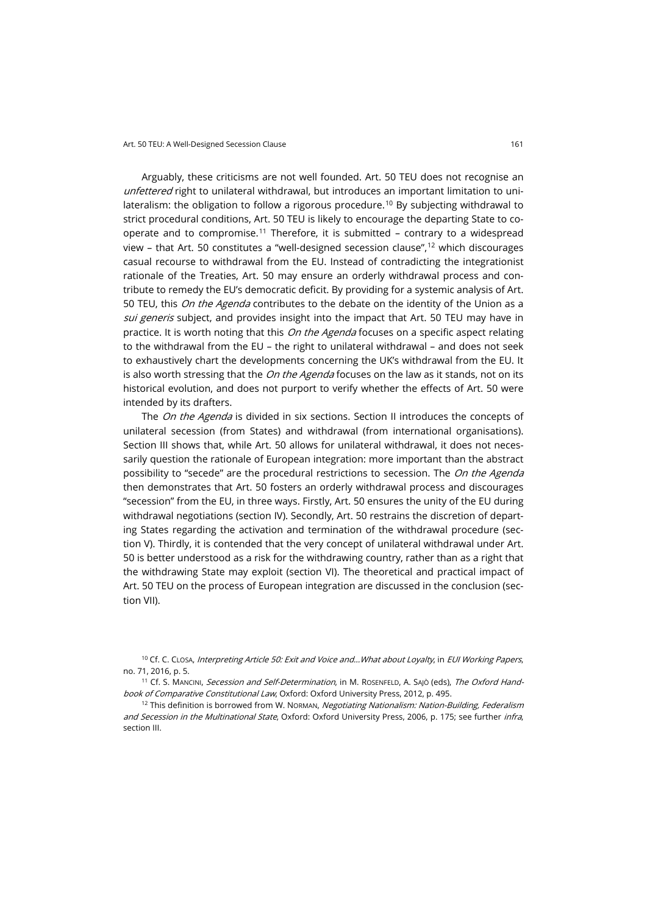Arguably, these criticisms are not well founded. Art. 50 TEU does not recognise an unfettered right to unilateral withdrawal, but introduces an important limitation to unilateralism: the obligation to follow a rigorous procedure.[10](#page-2-0) By subjecting withdrawal to strict procedural conditions, Art. 50 TEU is likely to encourage the departing State to co-operate and to compromise.<sup>[11](#page-2-1)</sup> Therefore, it is submitted - contrary to a widespread view – that Art. 50 constitutes a "well-designed secession clause",<sup>[12](#page-2-2)</sup> which discourages casual recourse to withdrawal from the EU. Instead of contradicting the integrationist rationale of the Treaties, Art. 50 may ensure an orderly withdrawal process and contribute to remedy the EU's democratic deficit. By providing for a systemic analysis of Art. 50 TEU, this *On the Agenda* contributes to the debate on the identity of the Union as a sui generis subject, and provides insight into the impact that Art. 50 TEU may have in practice. It is worth noting that this *On the Agenda* focuses on a specific aspect relating to the withdrawal from the EU – the right to unilateral withdrawal – and does not seek to exhaustively chart the developments concerning the UK's withdrawal from the EU. It is also worth stressing that the *On the Agenda* focuses on the law as it stands, not on its historical evolution, and does not purport to verify whether the effects of Art. 50 were intended by its drafters.

The On the Agenda is divided in six sections. Section II introduces the concepts of unilateral secession (from States) and withdrawal (from international organisations). Section III shows that, while Art. 50 allows for unilateral withdrawal, it does not necessarily question the rationale of European integration: more important than the abstract possibility to "secede" are the procedural restrictions to secession. The On the Agenda then demonstrates that Art. 50 fosters an orderly withdrawal process and discourages "secession" from the EU, in three ways. Firstly, Art. 50 ensures the unity of the EU during withdrawal negotiations (section IV). Secondly, Art. 50 restrains the discretion of departing States regarding the activation and termination of the withdrawal procedure (section V). Thirdly, it is contended that the very concept of unilateral withdrawal under Art. 50 is better understood as a risk for the withdrawing country, rather than as a right that the withdrawing State may exploit (section VI). The theoretical and practical impact of Art. 50 TEU on the process of European integration are discussed in the conclusion (section VII).

<span id="page-2-0"></span><sup>10</sup> Cf. C. CLOSA, Interpreting Article 50: Exit and Voice and...What about Loyalty, in EUI Working Papers, no. 71, 2016, p. 5.

<span id="page-2-1"></span><sup>11</sup> Cf. S. MANCINI, Secession and Self-Determination, in M. ROSENFELD, A. SAJÒ (eds), The Oxford Handbook of Comparative Constitutional Law, Oxford: Oxford University Press, 2012, p. 495.

<span id="page-2-2"></span><sup>12</sup> This definition is borrowed from W. Norman, Negotiating Nationalism: Nation-Building, Federalism and Secession in the Multinational State, Oxford: Oxford University Press, 2006, p. 175; see further infra, section III.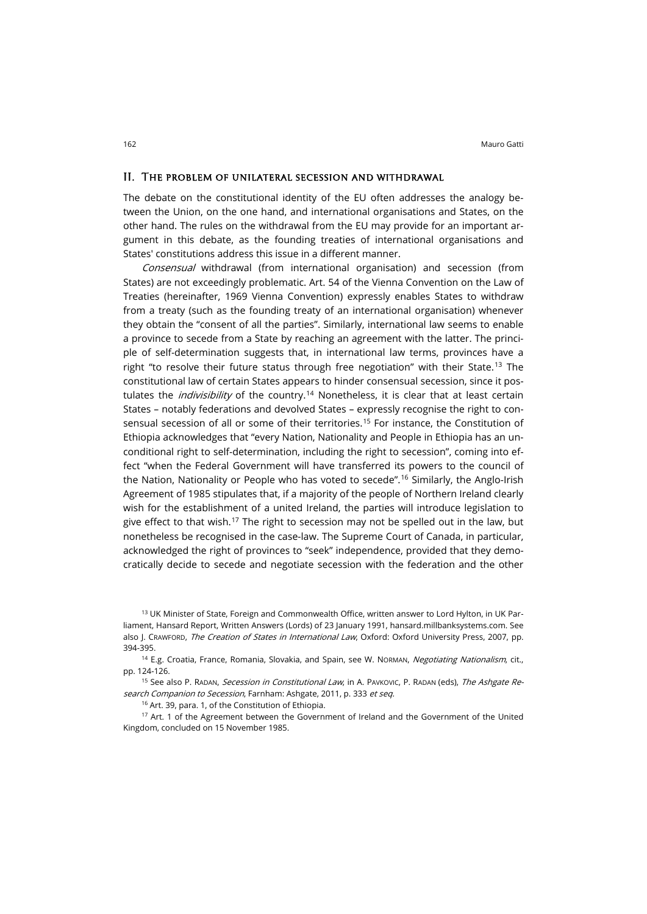#### II. The problem of unilateral secession and withdrawal

The debate on the constitutional identity of the EU often addresses the analogy between the Union, on the one hand, and international organisations and States, on the other hand. The rules on the withdrawal from the EU may provide for an important argument in this debate, as the founding treaties of international organisations and States' constitutions address this issue in a different manner.

Consensual withdrawal (from international organisation) and secession (from States) are not exceedingly problematic. Art. 54 of the Vienna Convention on the Law of Treaties (hereinafter, 1969 Vienna Convention) expressly enables States to withdraw from a treaty (such as the founding treaty of an international organisation) whenever they obtain the "consent of all the parties". Similarly, international law seems to enable a province to secede from a State by reaching an agreement with the latter. The principle of self-determination suggests that, in international law terms, provinces have a right "to resolve their future status through free negotiation" with their State.<sup>[13](#page-3-0)</sup> The constitutional law of certain States appears to hinder consensual secession, since it postulates the *indivisibility* of the country.<sup>[14](#page-3-1)</sup> Nonetheless, it is clear that at least certain States – notably federations and devolved States – expressly recognise the right to consensual secession of all or some of their territories.[15](#page-3-2) For instance, the Constitution of Ethiopia acknowledges that "every Nation, Nationality and People in Ethiopia has an unconditional right to self-determination, including the right to secession", coming into effect "when the Federal Government will have transferred its powers to the council of the Nation, Nationality or People who has voted to secede".[16](#page-3-3) Similarly, the Anglo-Irish Agreement of 1985 stipulates that, if a majority of the people of Northern Ireland clearly wish for the establishment of a united Ireland, the parties will introduce legislation to give effect to that wish.<sup>[17](#page-3-4)</sup> The right to secession may not be spelled out in the law, but nonetheless be recognised in the case-law. The Supreme Court of Canada, in particular, acknowledged the right of provinces to "seek" independence, provided that they democratically decide to secede and negotiate secession with the federation and the other

<span id="page-3-0"></span><sup>13</sup> UK Minister of State, Foreign and Commonwealth Office, written answer to Lord Hylton, in UK Parliament, Hansard Report, Written Answers (Lords) of 23 January 1991, [hansard.millbanksystems.com.](http://hansard.millbanksystems.com/written_answers/1991/jan/23/the-baltic-states) See also J. CRAWFORD, The Creation of States in International Law, Oxford: Oxford University Press, 2007, pp. 394-395.

<span id="page-3-1"></span><sup>14</sup> E.g. Croatia, France, Romania, Slovakia, and Spain, see W. Norman, Negotiating Nationalism, cit., pp. 124-126.

<span id="page-3-2"></span><sup>15</sup> See also P. Radan, *Secession in Constitutional Law*, in A. Pavkovic, P. Radan (eds), *The Ashgate Re*search Companion to Secession, Farnham: Ashgate, 2011, p. 333 et seq.

<sup>16</sup> Art. 39, para. 1, of the Constitution of Ethiopia.

<span id="page-3-4"></span><span id="page-3-3"></span><sup>17</sup> Art. 1 of the Agreement between the Government of Ireland and the Government of the United Kingdom, concluded on 15 November 1985.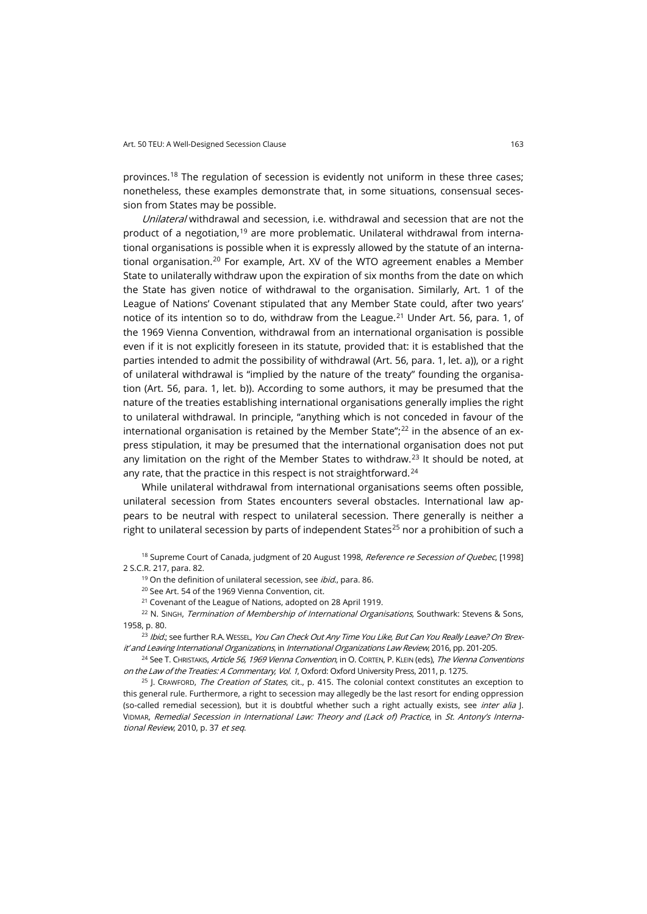provinces.[18](#page-4-0) The regulation of secession is evidently not uniform in these three cases; nonetheless, these examples demonstrate that, in some situations, consensual secession from States may be possible.

Unilateral withdrawal and secession, i.e. withdrawal and secession that are not the product of a negotiation,[19](#page-4-1) are more problematic. Unilateral withdrawal from international organisations is possible when it is expressly allowed by the statute of an interna-tional organisation.<sup>[20](#page-4-2)</sup> For example, Art. XV of the WTO agreement enables a Member State to unilaterally withdraw upon the expiration of six months from the date on which the State has given notice of withdrawal to the organisation. Similarly, Art. 1 of the League of Nations' Covenant stipulated that any Member State could, after two years' notice of its intention so to do, withdraw from the League.<sup>[21](#page-4-3)</sup> Under Art. 56, para. 1, of the 1969 Vienna Convention, withdrawal from an international organisation is possible even if it is not explicitly foreseen in its statute, provided that: it is established that the parties intended to admit the possibility of withdrawal (Art. 56, para. 1, let. a)), or a right of unilateral withdrawal is "implied by the nature of the treaty" founding the organisation (Art. 56, para. 1, let. b)). According to some authors, it may be presumed that the nature of the treaties establishing international organisations generally implies the right to unilateral withdrawal. In principle, "anything which is not conceded in favour of the international organisation is retained by the Member State"; $^{22}$  $^{22}$  $^{22}$  in the absence of an express stipulation, it may be presumed that the international organisation does not put any limitation on the right of the Member States to withdraw.<sup>[23](#page-4-5)</sup> It should be noted, at any rate, that the practice in this respect is not straightforward.<sup>[24](#page-4-6)</sup>

While unilateral withdrawal from international organisations seems often possible, unilateral secession from States encounters several obstacles. International law appears to be neutral with respect to unilateral secession. There generally is neither a right to unilateral secession by parts of independent States<sup>[25](#page-4-7)</sup> nor a prohibition of such a

<span id="page-4-1"></span><span id="page-4-0"></span><sup>18</sup> Supreme Court of Canada, judgment of 20 August 1998, Reference re Secession of Quebec, [1998] 2 S.C.R. 217, para. 82.

 $19$  On the definition of unilateral secession, see *ibid.*, para. 86.

<sup>20</sup> See Art. 54 of the 1969 Vienna Convention, cit.

<sup>21</sup> Covenant of the League of Nations, adopted on 28 April 1919.

<span id="page-4-4"></span><span id="page-4-3"></span><span id="page-4-2"></span><sup>22</sup> N. SINGH, Termination of Membership of International Organisations, Southwark: Stevens & Sons, 1958, p. 80.

<span id="page-4-5"></span><sup>23</sup> Ibid.; see further R.A. WESSEL, You Can Check Out Any Time You Like, But Can You Really Leave? On 'Brexit' and Leaving International Organizations, in International Organizations Law Review, 2016, pp. 201-205.

<span id="page-4-6"></span><sup>24</sup> See T. CHRISTAKIS, Article 56, 1969 Vienna Convention, in O. CORTEN, P. KLEIN (eds), The Vienna Conventions on the Law of the Treaties: A Commentary, Vol. 1, Oxford: Oxford University Press, 2011, p. 1275.

<span id="page-4-7"></span> $25$  J. CRAWFORD, The Creation of States, cit., p. 415. The colonial context constitutes an exception to this general rule. Furthermore, a right to secession may allegedly be the last resort for ending oppression (so-called remedial secession), but it is doubtful whether such a right actually exists, see *inter alia* |. VIDMAR, Remedial Secession in International Law: Theory and (Lack of) Practice, in St. Antony's International Review, 2010, p. 37 et seq.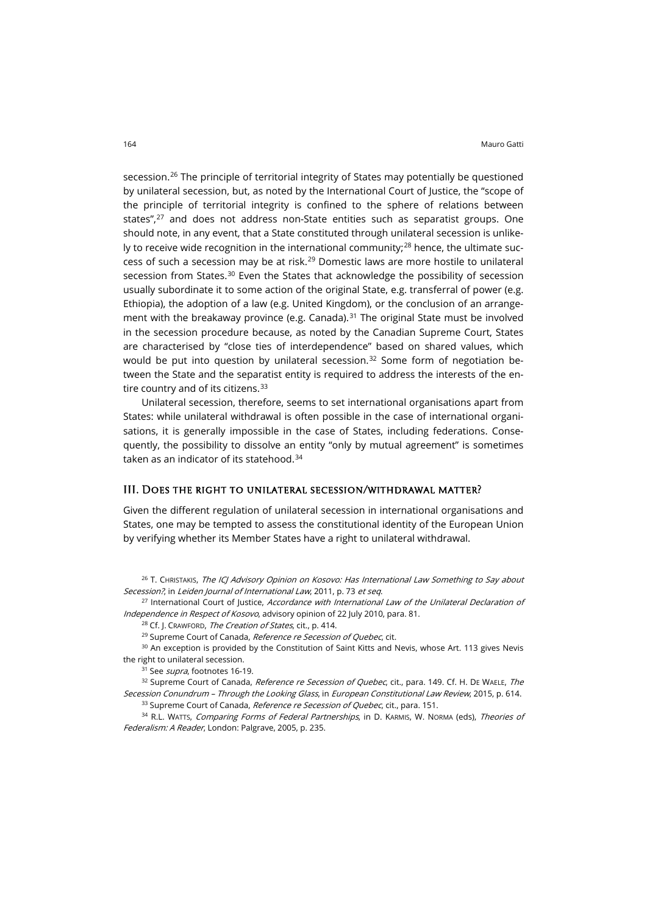secession. [26](#page-5-0) The principle of territorial integrity of States may potentially be questioned by unilateral secession, but, as noted by the International Court of Justice, the "scope of the principle of territorial integrity is confined to the sphere of relations between states",<sup>[27](#page-5-1)</sup> and does not address non-State entities such as separatist groups. One should note, in any event, that a State constituted through unilateral secession is unlike-ly to receive wide recognition in the international community;<sup>[28](#page-5-2)</sup> hence, the ultimate success of such a secession may be at risk.[29](#page-5-3) Domestic laws are more hostile to unilateral secession from States.<sup>[30](#page-5-4)</sup> Even the States that acknowledge the possibility of secession usually subordinate it to some action of the original State, e.g. transferral of power (e.g. Ethiopia), the adoption of a law (e.g. United Kingdom), or the conclusion of an arrange-ment with the breakaway province (e.g. Canada).<sup>[31](#page-5-5)</sup> The original State must be involved in the secession procedure because, as noted by the Canadian Supreme Court, States are characterised by "close ties of interdependence" based on shared values, which would be put into question by unilateral secession. $32$  Some form of negotiation between the State and the separatist entity is required to address the interests of the en-tire country and of its citizens.<sup>[33](#page-5-7)</sup>

Unilateral secession, therefore, seems to set international organisations apart from States: while unilateral withdrawal is often possible in the case of international organisations, it is generally impossible in the case of States, including federations. Consequently, the possibility to dissolve an entity "only by mutual agreement" is sometimes taken as an indicator of its statehood.<sup>[34](#page-5-8)</sup>

### III. Does the right to unilateral secession/withdrawal matter?

Given the different regulation of unilateral secession in international organisations and States, one may be tempted to assess the constitutional identity of the European Union by verifying whether its Member States have a right to unilateral withdrawal.

<span id="page-5-0"></span><sup>26</sup> T. CHRISTAKIS, *The ICJ Advisory Opinion on Kosovo: Has International Law Something to Say about* Secession?, in Leiden Journal of International Law, 2011, p. 73 et seq.

<span id="page-5-2"></span><span id="page-5-1"></span><sup>27</sup> International Court of Justice, Accordance with International Law of the Unilateral Declaration of Independence in Respect of Kosovo, advisory opinion of 22 July 2010, para. 81.

<sup>28</sup> Cf. J. CRAWFORD, *The Creation of States*, cit., p. 414.

<sup>29</sup> Supreme Court of Canada, Reference re Secession of Quebec, cit.

<span id="page-5-4"></span><span id="page-5-3"></span><sup>30</sup> An exception is provided by the Constitution of Saint Kitts and Nevis, whose Art. 113 gives Nevis the right to unilateral secession.

<sup>31</sup> See *supra*, footnotes 16-19.

<span id="page-5-6"></span><span id="page-5-5"></span>32 Supreme Court of Canada, Reference re Secession of Quebec, cit., para. 149. Cf. H. DE WAELE, The Secession Conundrum – Through the Looking Glass, in European Constitutional Law Review, 2015, p. 614.

33 Supreme Court of Canada, Reference re Secession of Quebec, cit., para. 151.

<span id="page-5-8"></span><span id="page-5-7"></span><sup>34</sup> R.L. WATTS, Comparing Forms of Federal Partnerships, in D. KARMIS, W. NORMA (eds), Theories of Federalism: A Reader, London: Palgrave, 2005, p. 235.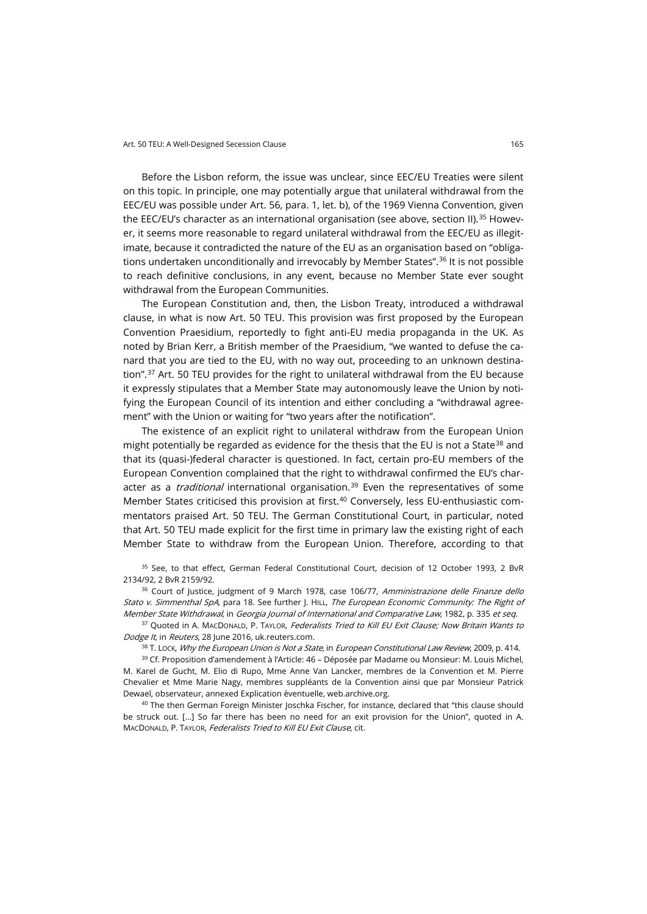Before the Lisbon reform, the issue was unclear, since EEC/EU Treaties were silent on this topic. In principle, one may potentially argue that unilateral withdrawal from the EEC/EU was possible under Art. 56, para. 1, let. b), of the 1969 Vienna Convention, given the EEC/EU's character as an international organisation (see above, section II).<sup>[35](#page-6-0)</sup> However, it seems more reasonable to regard unilateral withdrawal from the EEC/EU as illegitimate, because it contradicted the nature of the EU as an organisation based on "obligations undertaken unconditionally and irrevocably by Member States". [36](#page-6-1) It is not possible to reach definitive conclusions, in any event, because no Member State ever sought withdrawal from the European Communities.

The European Constitution and, then, the Lisbon Treaty, introduced a withdrawal clause, in what is now Art. 50 TEU. This provision was first proposed by the European Convention Praesidium, reportedly to fight anti-EU media propaganda in the UK. As noted by Brian Kerr, a British member of the Praesidium, "we wanted to defuse the canard that you are tied to the EU, with no way out, proceeding to an unknown destina-tion".<sup>[37](#page-6-2)</sup> Art. 50 TEU provides for the right to unilateral withdrawal from the EU because it expressly stipulates that a Member State may autonomously leave the Union by notifying the European Council of its intention and either concluding a "withdrawal agreement" with the Union or waiting for "two years after the notification".

The existence of an explicit right to unilateral withdraw from the European Union might potentially be regarded as evidence for the thesis that the EU is not a State<sup>[38](#page-6-3)</sup> and that its (quasi-)federal character is questioned. In fact, certain pro-EU members of the European Convention complained that the right to withdrawal confirmed the EU's character as a *traditional* international organisation.<sup>[39](#page-6-4)</sup> Even the representatives of some Member States criticised this provision at first.<sup>[40](#page-6-5)</sup> Conversely, less EU-enthusiastic commentators praised Art. 50 TEU. The German Constitutional Court, in particular, noted that Art. 50 TEU made explicit for the first time in primary law the existing right of each Member State to withdraw from the European Union. Therefore, according to that

<span id="page-6-0"></span><sup>35</sup> See, to that effect, German Federal Constitutional Court, decision of 12 October 1993, 2 BvR 2134/92, 2 BvR 2159/92.

<span id="page-6-1"></span><sup>36</sup> Court of Justice, judgment of 9 March 1978, case 106/77, Amministrazione delle Finanze dello Stato v. Simmenthal SpA, para 18. See further J. HILL, The European Economic Community: The Right of Member State Withdrawal, in Georgia Journal of International and Comparative Law, 1982, p. 335 et seq.

<span id="page-6-2"></span><sup>37</sup> Quoted in A. MACDONALD, P. TAYLOR, *Federalists Tried to Kill EU Exit Clause; Now Britain Wants to* Dodge It, in Reuters, 28 June 2016[, uk.reuters.com.](http://www.uk.reuters.com/article/uk-britain-eu-article-idUKKCN0ZE18Y)

 $38$  T. Lock, Why the European Union is Not a State, in European Constitutional Law Review, 2009, p. 414.

<span id="page-6-4"></span><span id="page-6-3"></span><sup>39</sup> Cf. Proposition d'amendement à l'Article: 46 – Déposée par Madame ou Monsieur: M. Louis Michel, M. Karel de Gucht, M. Elio di Rupo, Mme Anne Van Lancker, membres de la Convention et M. Pierre Chevalier et Mme Marie Nagy, membres suppléants de la Convention ainsi que par Monsieur Patrick Dewael, observateur, annexed Explication éventuelle[, web.archive.org.](https://web.archive.org/web/20061121022441/http:/european-convention.europa.eu/docs/Treaty/pdf/46/Art46MichelFR.pdf)

<span id="page-6-5"></span><sup>40</sup> The then German Foreign Minister Joschka Fischer, for instance, declared that "this clause should be struck out. […] So far there has been no need for an exit provision for the Union", quoted in A. MACDONALD, P. TAYLOR, Federalists Tried to Kill EU Exit Clause, cit.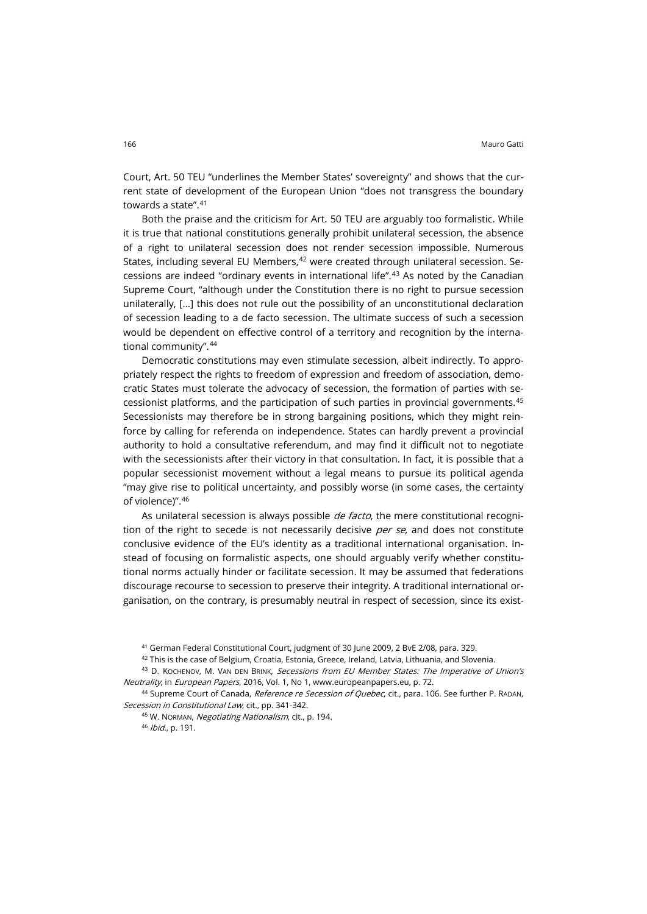Court, Art. 50 TEU "underlines the Member States' sovereignty" and shows that the current state of development of the European Union "does not transgress the boundary towards a state". [41](#page-7-0)

Both the praise and the criticism for Art. 50 TEU are arguably too formalistic. While it is true that national constitutions generally prohibit unilateral secession, the absence of a right to unilateral secession does not render secession impossible. Numerous States, including several EU Members, <sup>[42](#page-7-1)</sup> were created through unilateral secession. Secessions are indeed "ordinary events in international life".[43](#page-7-2) As noted by the Canadian Supreme Court, "although under the Constitution there is no right to pursue secession unilaterally, […] this does not rule out the possibility of an unconstitutional declaration of secession leading to a de facto secession. The ultimate success of such a secession would be dependent on effective control of a territory and recognition by the international community".[44](#page-7-3)

Democratic constitutions may even stimulate secession, albeit indirectly. To appropriately respect the rights to freedom of expression and freedom of association, democratic States must tolerate the advocacy of secession, the formation of parties with secessionist platforms, and the participation of such parties in provincial governments.[45](#page-7-4) Secessionists may therefore be in strong bargaining positions, which they might reinforce by calling for referenda on independence. States can hardly prevent a provincial authority to hold a consultative referendum, and may find it difficult not to negotiate with the secessionists after their victory in that consultation. In fact, it is possible that a popular secessionist movement without a legal means to pursue its political agenda "may give rise to political uncertainty, and possibly worse (in some cases, the certainty of violence)".[46](#page-7-5)

As unilateral secession is always possible *de facto*, the mere constitutional recognition of the right to secede is not necessarily decisive per se, and does not constitute conclusive evidence of the EU's identity as a traditional international organisation. Instead of focusing on formalistic aspects, one should arguably verify whether constitutional norms actually hinder or facilitate secession. It may be assumed that federations discourage recourse to secession to preserve their integrity. A traditional international organisation, on the contrary, is presumably neutral in respect of secession, since its exist-

<sup>41</sup> German Federal Constitutional Court, judgment of 30 June 2009, 2 BvE 2/08, para. 329.

42 This is the case of Belgium, Croatia, Estonia, Greece, Ireland, Latvia, Lithuania, and Slovenia.

<span id="page-7-2"></span><span id="page-7-1"></span><span id="page-7-0"></span>43 D. KOCHENOV, M. VAN DEN BRINK, Secessions from EU Member States: The Imperative of Union's Neutrality, in European Papers, 2016, Vol. 1, No 1[, www.europeanpapers.eu,](http://www.europeanpapers.eu/en/e-journal/secessions-eu-member-states-imperative-union-neutrality) p. 72.

45 W. NORMAN, Negotiating Nationalism, cit., p. 194.

<sup>46</sup> Ibid., p. 191.

<span id="page-7-5"></span><span id="page-7-4"></span><span id="page-7-3"></span><sup>44</sup> Supreme Court of Canada, Reference re Secession of Quebec, cit., para. 106. See further P. RADAN, Secession in Constitutional Law, cit., pp. 341-342.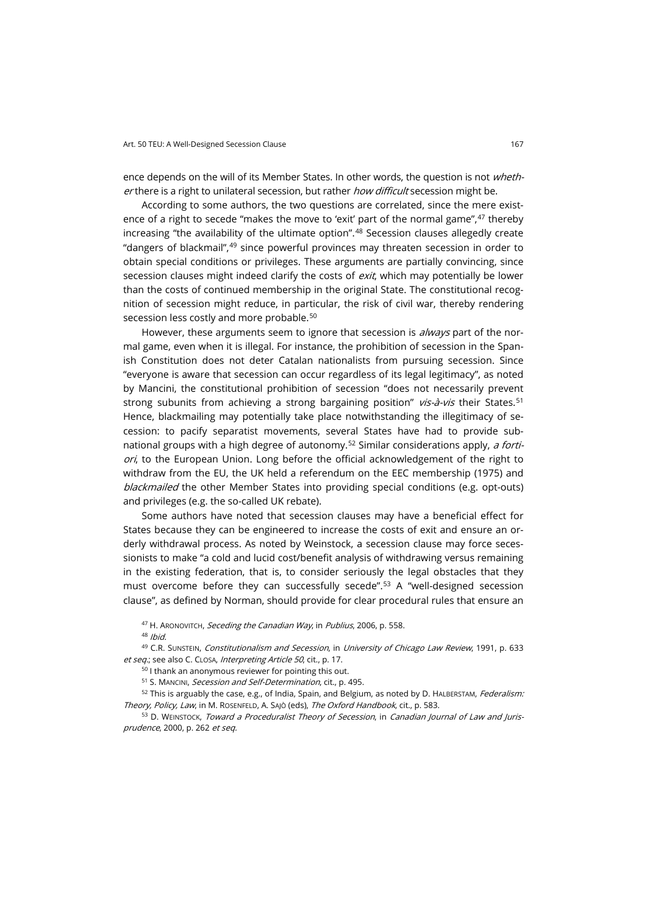ence depends on the will of its Member States. In other words, the question is not whether there is a right to unilateral secession, but rather how difficult secession might be.

According to some authors, the two questions are correlated, since the mere exist-ence of a right to secede "makes the move to 'exit' part of the normal game",<sup>[47](#page-8-0)</sup> thereby increasing "the availability of the ultimate option". [48](#page-8-1) Secession clauses allegedly create "dangers of blackmail",[49](#page-8-2) since powerful provinces may threaten secession in order to obtain special conditions or privileges. These arguments are partially convincing, since secession clauses might indeed clarify the costs of exit, which may potentially be lower than the costs of continued membership in the original State. The constitutional recognition of secession might reduce, in particular, the risk of civil war, thereby rendering secession less costly and more probable.<sup>[50](#page-8-3)</sup>

However, these arguments seem to ignore that secession is *always* part of the normal game, even when it is illegal. For instance, the prohibition of secession in the Spanish Constitution does not deter Catalan nationalists from pursuing secession. Since "everyone is aware that secession can occur regardless of its legal legitimacy", as noted by Mancini, the constitutional prohibition of secession "does not necessarily prevent strong subunits from achieving a strong bargaining position"  $vis -\frac{\partial}{\partial s}$  their States.<sup>[51](#page-8-4)</sup> Hence, blackmailing may potentially take place notwithstanding the illegitimacy of secession: to pacify separatist movements, several States have had to provide sub-national groups with a high degree of autonomy.<sup>[52](#page-8-5)</sup> Similar considerations apply, a forti $ori$ , to the European Union. Long before the official acknowledgement of the right to withdraw from the EU, the UK held a referendum on the EEC membership (1975) and blackmailed the other Member States into providing special conditions (e.g. opt-outs) and privileges (e.g. the so-called UK rebate).

Some authors have noted that secession clauses may have a beneficial effect for States because they can be engineered to increase the costs of exit and ensure an orderly withdrawal process. As noted by Weinstock, a secession clause may force secessionists to make "a cold and lucid cost/benefit analysis of withdrawing versus remaining in the existing federation, that is, to consider seriously the legal obstacles that they must overcome before they can successfully secede".<sup>[53](#page-8-6)</sup> A "well-designed secession clause", as defined by Norman, should provide for clear procedural rules that ensure an

<sup>47</sup> H. ARONOVITCH, Seceding the Canadian Way, in Publius, 2006, p. 558. 48 Ibid.

<span id="page-8-3"></span><span id="page-8-2"></span><span id="page-8-1"></span><span id="page-8-0"></span>49 C.R. SUNSTEIN, Constitutionalism and Secession, in University of Chicago Law Review, 1991, p. 633 et seq.; see also C. CLOSA, Interpreting Article 50, cit., p. 17.

<sup>50</sup> I thank an anonymous reviewer for pointing this out.

51 S. MANCINI, Secession and Self-Determination, cit., p. 495.

<span id="page-8-5"></span><span id="page-8-4"></span>52 This is arguably the case, e.g., of India, Spain, and Belgium, as noted by D. HALBERSTAM, Federalism: Theory, Policy, Law, in M. RosenFELD, A. SAJÒ (eds), The Oxford Handbook, cit., p. 583.

<span id="page-8-6"></span>53 D. WEINSTOCK, Toward a Proceduralist Theory of Secession, in Canadian Journal of Law and Jurisprudence, 2000, p. 262 et seq.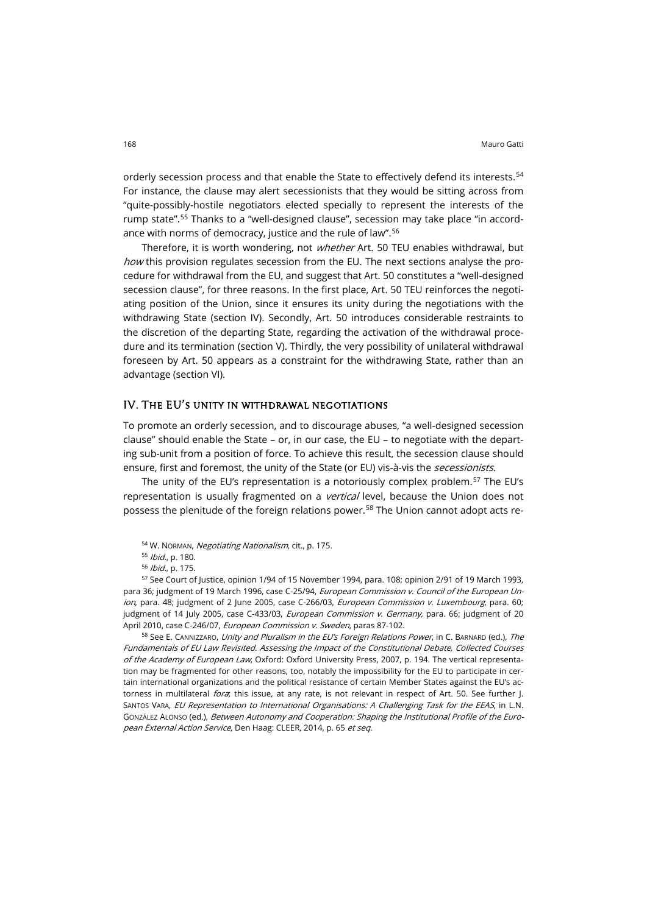orderly secession process and that enable the State to effectively defend its interests.<sup>[54](#page-9-0)</sup> For instance, the clause may alert secessionists that they would be sitting across from "quite-possibly-hostile negotiators elected specially to represent the interests of the rump state"[.55](#page-9-1) Thanks to a "well-designed clause", secession may take place "in accordance with norms of democracy, justice and the rule of law".[56](#page-9-2)

Therefore, it is worth wondering, not whether Art. 50 TEU enables withdrawal, but how this provision regulates secession from the EU. The next sections analyse the procedure for withdrawal from the EU, and suggest that Art. 50 constitutes a "well-designed secession clause", for three reasons. In the first place, Art. 50 TEU reinforces the negotiating position of the Union, since it ensures its unity during the negotiations with the withdrawing State (section IV). Secondly, Art. 50 introduces considerable restraints to the discretion of the departing State, regarding the activation of the withdrawal procedure and its termination (section V). Thirdly, the very possibility of unilateral withdrawal foreseen by Art. 50 appears as a constraint for the withdrawing State, rather than an advantage (section VI).

## IV. The EU's unity in withdrawal negotiations

To promote an orderly secession, and to discourage abuses, "a well-designed secession clause" should enable the State – or, in our case, the EU – to negotiate with the departing sub-unit from a position of force. To achieve this result, the secession clause should ensure, first and foremost, the unity of the State (or EU) vis-à-vis the *secessionists*.

The unity of the EU's representation is a notoriously complex problem.[57](#page-9-3) The EU's representation is usually fragmented on a *vertical* level, because the Union does not possess the plenitude of the foreign relations power.<sup>[58](#page-9-4)</sup> The Union cannot adopt acts re-

<span id="page-9-3"></span><span id="page-9-2"></span><span id="page-9-1"></span><span id="page-9-0"></span><sup>57</sup> See Court of Justice, opinion 1/94 of 15 November 1994, para. 108; opinion 2/91 of 19 March 1993, para 36; judgment of 19 March 1996, case C-25/94, *European Commission v. Council of the European Un*ion, para. 48; judgment of 2 June 2005, case C-266/03, *European Commission v. Luxembourg*, para. 60; judgment of 14 July 2005, case C-433/03, European Commission v. Germany, para. 66; judgment of 20 April 2010, case C-246/07, European Commission v. Sweden, paras 87-102.

<span id="page-9-4"></span>58 See E. CANNIZZARO, Unity and Pluralism in the EU's Foreign Relations Power, in C. BARNARD (ed.), The Fundamentals of EU Law Revisited. Assessing the Impact of the Constitutional Debate, Collected Courses of the Academy of European Law, Oxford: Oxford University Press, 2007, p. 194. The vertical representation may be fragmented for other reasons, too, notably the impossibility for the EU to participate in certain international organizations and the political resistance of certain Member States against the EU's actorness in multilateral *fora*; this issue, at any rate, is not relevant in respect of Art. 50. See further J. SANTOS VARA, EU Representation to International Organisations: A Challenging Task for the EEAS, in L.N. GONZÁLEZ ALONSO (ed.), Between Autonomy and Cooperation: Shaping the Institutional Profile of the European External Action Service, Den Haag: CLEER, 2014, p. 65 et seq.

<sup>54</sup> W. NORMAN, Negotiating Nationalism, cit., p. 175.

<sup>55</sup> Ibid., p. 180.

<sup>56</sup> Ibid., p. 175.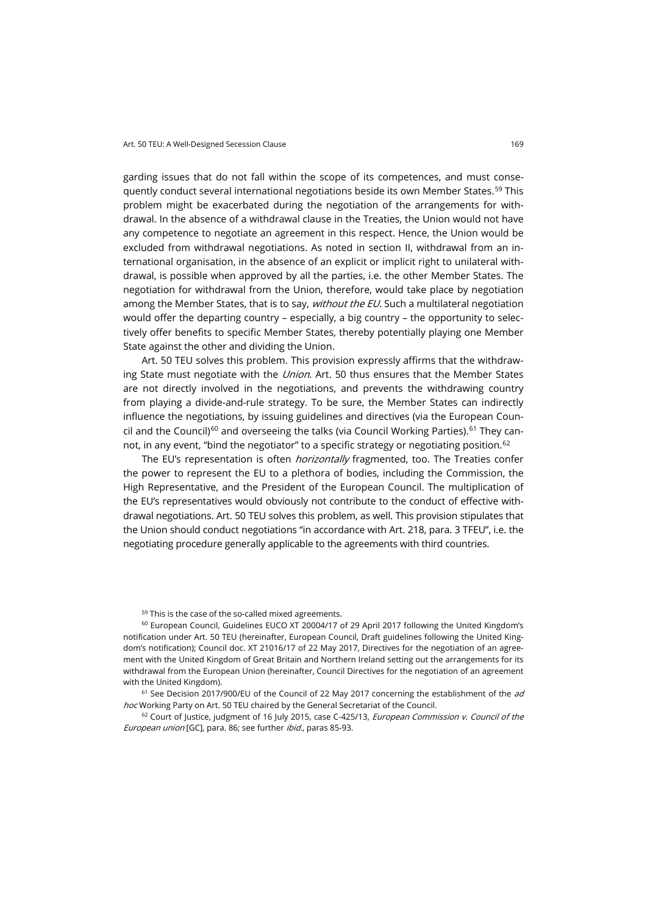garding issues that do not fall within the scope of its competences, and must conse-quently conduct several international negotiations beside its own Member States.<sup>[59](#page-10-0)</sup> This problem might be exacerbated during the negotiation of the arrangements for withdrawal. In the absence of a withdrawal clause in the Treaties, the Union would not have any competence to negotiate an agreement in this respect. Hence, the Union would be excluded from withdrawal negotiations. As noted in section II, withdrawal from an international organisation, in the absence of an explicit or implicit right to unilateral withdrawal, is possible when approved by all the parties, i.e. the other Member States. The negotiation for withdrawal from the Union, therefore, would take place by negotiation among the Member States, that is to say, *without the EU*. Such a multilateral negotiation would offer the departing country – especially, a big country – the opportunity to selectively offer benefits to specific Member States, thereby potentially playing one Member State against the other and dividing the Union.

Art. 50 TEU solves this problem. This provision expressly affirms that the withdrawing State must negotiate with the *Union*. Art. 50 thus ensures that the Member States are not directly involved in the negotiations, and prevents the withdrawing country from playing a divide-and-rule strategy. To be sure, the Member States can indirectly influence the negotiations, by issuing guidelines and directives (via the European Coun-cil and the Council)<sup>[60](#page-10-1)</sup> and overseeing the talks (via Council Working Parties).<sup>[61](#page-10-2)</sup> They can-not, in any event, "bind the negotiator" to a specific strategy or negotiating position.<sup>[62](#page-10-3)</sup>

The EU's representation is often *horizontally* fragmented, too. The Treaties confer the power to represent the EU to a plethora of bodies, including the Commission, the High Representative, and the President of the European Council. The multiplication of the EU's representatives would obviously not contribute to the conduct of effective withdrawal negotiations. Art. 50 TEU solves this problem, as well. This provision stipulates that the Union should conduct negotiations "in accordance with Art. 218, para. 3 TFEU", i.e. the negotiating procedure generally applicable to the agreements with third countries.

<sup>59</sup> This is the case of the so-called mixed agreements.

<span id="page-10-1"></span><span id="page-10-0"></span><sup>60</sup> European Council, Guidelines EUCO XT 20004/17 of 29 April 2017 following the United Kingdom's notification under Art. 50 TEU (hereinafter, European Council, Draft guidelines following the United Kingdom's notification); Council doc. XT 21016/17 of 22 May 2017, Directives for the negotiation of an agreement with the United Kingdom of Great Britain and Northern Ireland setting out the arrangements for its withdrawal from the European Union (hereinafter, Council Directives for the negotiation of an agreement with the United Kingdom).

<span id="page-10-2"></span> $61$  See Decision 2017/900/EU of the Council of 22 May 2017 concerning the establishment of the  $ad$ hoc Working Party on Art. 50 TEU chaired by the General Secretariat of the Council.

<span id="page-10-3"></span> $62$  Court of Justice, judgment of 16 July 2015, case C-425/13, *European Commission v. Council of the* European union [GC], para. 86; see further ibid., paras 85-93.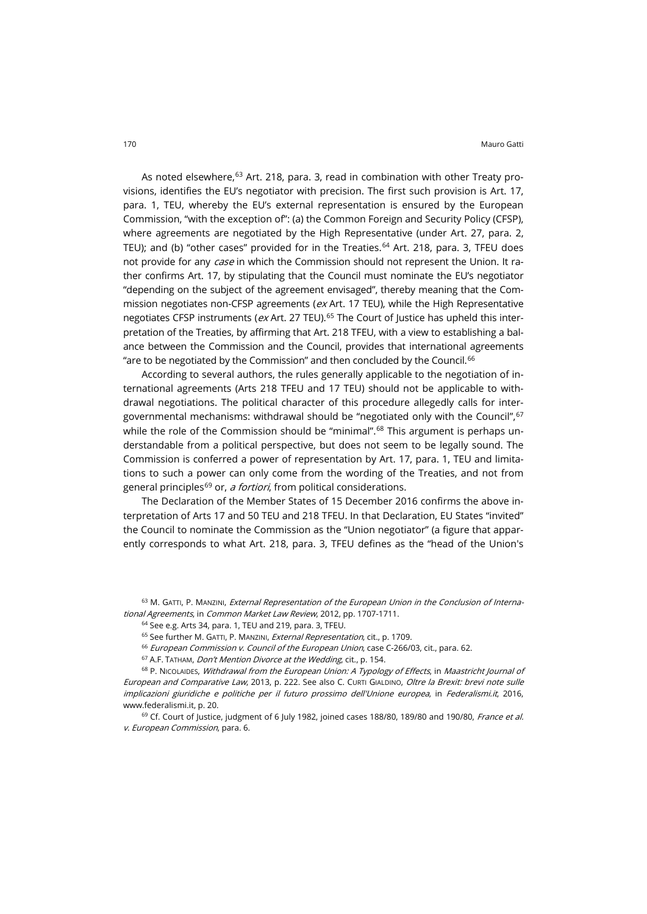As noted elsewhere,<sup>[63](#page-11-0)</sup> Art. 218, para. 3, read in combination with other Treaty provisions, identifies the EU's negotiator with precision. The first such provision is Art. 17, para. 1, TEU, whereby the EU's external representation is ensured by the European Commission, "with the exception of": (a) the Common Foreign and Security Policy (CFSP), where agreements are negotiated by the High Representative (under Art. 27, para. 2, TEU); and (b) "other cases" provided for in the Treaties. $64$  Art. 218, para. 3, TFEU does not provide for any *case* in which the Commission should not represent the Union. It rather confirms Art. 17, by stipulating that the Council must nominate the EU's negotiator "depending on the subject of the agreement envisaged", thereby meaning that the Commission negotiates non-CFSP agreements ( $ex$  Art. 17 TEU), while the High Representative negotiates CFSP instruments ( $ex$  Art. 27 TEU).<sup>[65](#page-11-2)</sup> The Court of Justice has upheld this interpretation of the Treaties, by affirming that Art. 218 TFEU, with a view to establishing a balance between the Commission and the Council, provides that international agreements "are to be negotiated by the Commission" and then concluded by the Council.[66](#page-11-3)

According to several authors, the rules generally applicable to the negotiation of international agreements (Arts 218 TFEU and 17 TEU) should not be applicable to withdrawal negotiations. The political character of this procedure allegedly calls for intergovernmental mechanisms: withdrawal should be "negotiated only with the Council", [67](#page-11-4) while the role of the Commission should be "minimal".<sup>[68](#page-11-5)</sup> This argument is perhaps understandable from a political perspective, but does not seem to be legally sound. The Commission is conferred a power of representation by Art. 17, para. 1, TEU and limitations to such a power can only come from the wording of the Treaties, and not from general principles<sup>[69](#page-11-6)</sup> or, *a fortiori*, from political considerations.

The Declaration of the Member States of 15 December 2016 confirms the above interpretation of Arts 17 and 50 TEU and 218 TFEU. In that Declaration, EU States "invited" the Council to nominate the Commission as the "Union negotiator" (a figure that apparently corresponds to what Art. 218, para. 3, TFEU defines as the "head of the Union's

<span id="page-11-2"></span><span id="page-11-1"></span><span id="page-11-0"></span>63 M. GATTI, P. MANZINI, External Representation of the European Union in the Conclusion of International Agreements, in Common Market Law Review, 2012, pp. 1707-1711.

<sup>64</sup> See e.g. Arts 34, para. 1, TEU and 219, para. 3, TFEU.

<sup>65</sup> See further M. GATTI, P. MANZINI, *External Representation*, cit., p. 1709.

<sup>66</sup> European Commission v. Council of the European Union, case C-266/03, cit., para. 62.

 $67$  A.F. TATHAM, *Don't Mention Divorce at the Wedding*, cit., p. 154.

<span id="page-11-5"></span><span id="page-11-4"></span><span id="page-11-3"></span>68 P. NICOLAIDES, Withdrawal from the European Union: A Typology of Effects, in Maastricht Journal of European and Comparative Law, 2013, p. 222. See also C. CURTI GIALDINO, Oltre la Brexit: brevi note sulle implicazioni giuridiche e politiche per il futuro prossimo dell'Unione europea, in Federalismi.it, 2016, [www.federalismi.it,](http://www.federalismi.it/nv14/articolo-documento.cfm?artid=32126) p. 20.

<span id="page-11-6"></span> $69$  Cf. Court of Justice, judgment of 6 July 1982, joined cases 188/80, 189/80 and 190/80, France et al. v. European Commission, para. 6.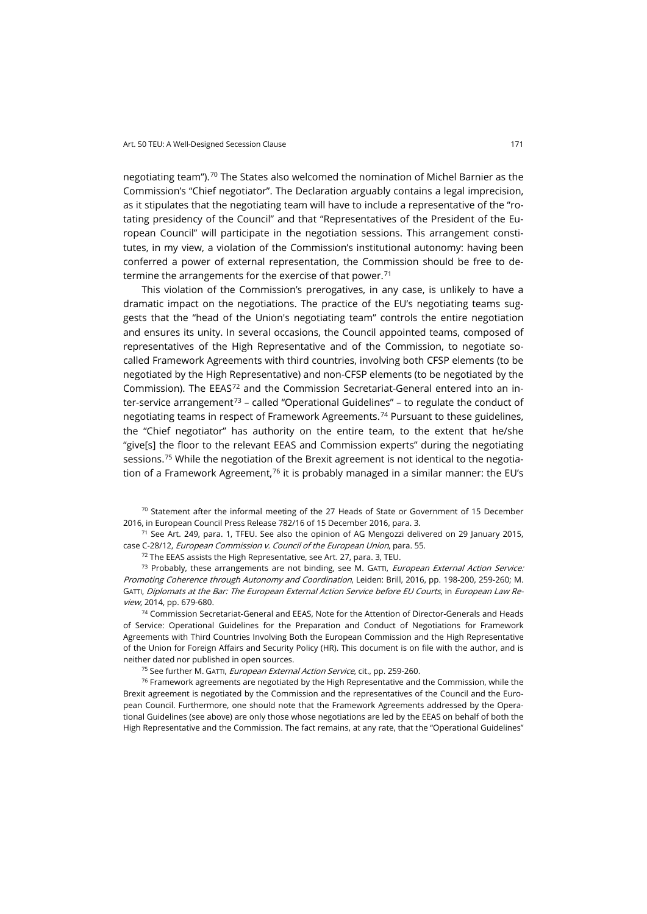negotiating team").[70](#page-12-0) The States also welcomed the nomination of Michel Barnier as the Commission's "Chief negotiator". The Declaration arguably contains a legal imprecision, as it stipulates that the negotiating team will have to include a representative of the "rotating presidency of the Council" and that "Representatives of the President of the European Council" will participate in the negotiation sessions. This arrangement constitutes, in my view, a violation of the Commission's institutional autonomy: having been conferred a power of external representation, the Commission should be free to determine the arrangements for the exercise of that power. $71$ 

This violation of the Commission's prerogatives, in any case, is unlikely to have a dramatic impact on the negotiations. The practice of the EU's negotiating teams suggests that the "head of the Union's negotiating team" controls the entire negotiation and ensures its unity. In several occasions, the Council appointed teams, composed of representatives of the High Representative and of the Commission, to negotiate socalled Framework Agreements with third countries, involving both CFSP elements (to be negotiated by the High Representative) and non-CFSP elements (to be negotiated by the Commission). The EEAS[72](#page-12-2) and the Commission Secretariat-General entered into an in-ter-service arrangement<sup>[73](#page-12-3)</sup> – called "Operational Guidelines" – to regulate the conduct of negotiating teams in respect of Framework Agreements. [74](#page-12-4) Pursuant to these guidelines, the "Chief negotiator" has authority on the entire team, to the extent that he/she "give[s] the floor to the relevant EEAS and Commission experts" during the negotiating sessions.<sup>[75](#page-12-5)</sup> While the negotiation of the Brexit agreement is not identical to the negotiation of a Framework Agreement, $76$  it is probably managed in a similar manner: the EU's

<span id="page-12-0"></span> $70$  Statement after the informal meeting of the 27 Heads of State or Government of 15 December 2016, in European Council Press Release 782/16 of 15 December 2016, para. 3.

<span id="page-12-1"></span> $71$  See Art. 249, para. 1, TFEU. See also the opinion of AG Mengozzi delivered on 29 January 2015, case C-28/12, European Commission v. Council of the European Union, para. 55.

<sup>72</sup> The EEAS assists the High Representative, see Art. 27, para. 3, TEU.

<span id="page-12-3"></span><span id="page-12-2"></span> $73$  Probably, these arrangements are not binding, see M. GATTI, *European External Action Service:* Promoting Coherence through Autonomy and Coordination, Leiden: Brill, 2016, pp. 198-200, 259-260; M. GATTI, Diplomats at the Bar: The European External Action Service before EU Courts, in European Law Review, 2014, pp. 679-680.

<span id="page-12-4"></span><sup>74</sup> Commission Secretariat-General and EEAS, Note for the Attention of Director-Generals and Heads of Service: Operational Guidelines for the Preparation and Conduct of Negotiations for Framework Agreements with Third Countries Involving Both the European Commission and the High Representative of the Union for Foreign Affairs and Security Policy (HR). This document is on file with the author, and is neither dated nor published in open sources.

<sup>75</sup> See further M. GATTI, *European External Action Service*, cit., pp. 259-260.

<span id="page-12-6"></span><span id="page-12-5"></span> $76$  Framework agreements are negotiated by the High Representative and the Commission, while the Brexit agreement is negotiated by the Commission and the representatives of the Council and the European Council. Furthermore, one should note that the Framework Agreements addressed by the Operational Guidelines (see above) are only those whose negotiations are led by the EEAS on behalf of both the High Representative and the Commission. The fact remains, at any rate, that the "Operational Guidelines"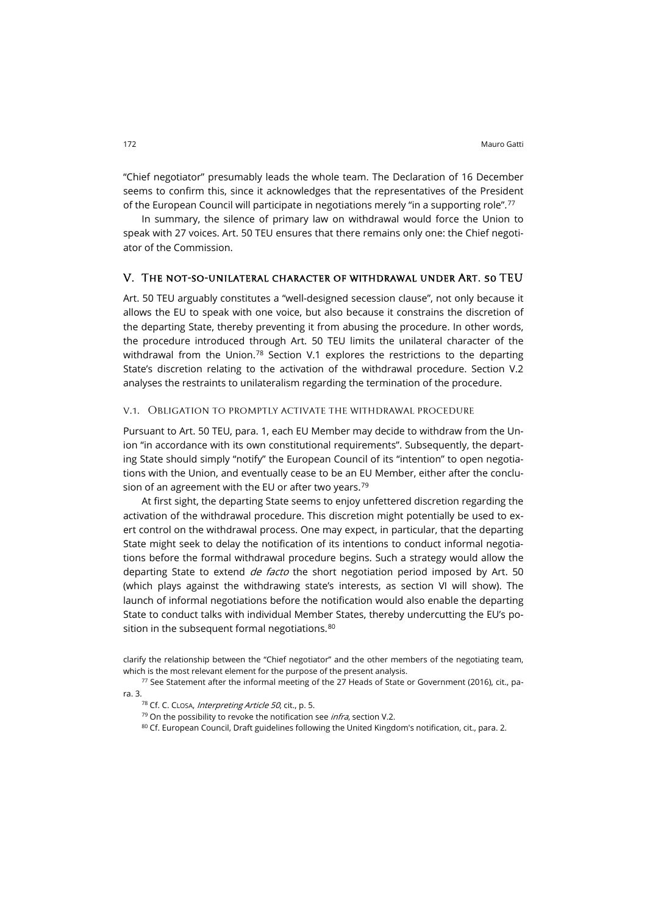"Chief negotiator" presumably leads the whole team. The Declaration of 16 December seems to confirm this, since it acknowledges that the representatives of the President of the European Council will participate in negotiations merely "in a supporting role".<sup>[77](#page-13-0)</sup>

In summary, the silence of primary law on withdrawal would force the Union to speak with 27 voices. Art. 50 TEU ensures that there remains only one: the Chief negotiator of the Commission.

#### V. The not-so-unilateral character of withdrawal under Art. 50 TEU

Art. 50 TEU arguably constitutes a "well-designed secession clause", not only because it allows the EU to speak with one voice, but also because it constrains the discretion of the departing State, thereby preventing it from abusing the procedure. In other words, the procedure introduced through Art. 50 TEU limits the unilateral character of the withdrawal from the Union.<sup>[78](#page-13-1)</sup> Section V.1 explores the restrictions to the departing State's discretion relating to the activation of the withdrawal procedure. Section V.2 analyses the restraints to unilateralism regarding the termination of the procedure.

#### v.1. Obligation to promptly activate the withdrawal procedure

Pursuant to Art. 50 TEU, para. 1, each EU Member may decide to withdraw from the Union "in accordance with its own constitutional requirements". Subsequently, the departing State should simply "notify" the European Council of its "intention" to open negotiations with the Union, and eventually cease to be an EU Member, either after the conclu-sion of an agreement with the EU or after two years.<sup>[79](#page-13-2)</sup>

At first sight, the departing State seems to enjoy unfettered discretion regarding the activation of the withdrawal procedure. This discretion might potentially be used to exert control on the withdrawal process. One may expect, in particular, that the departing State might seek to delay the notification of its intentions to conduct informal negotiations before the formal withdrawal procedure begins. Such a strategy would allow the departing State to extend *de facto* the short negotiation period imposed by Art. 50 (which plays against the withdrawing state's interests, as section VI will show). The launch of informal negotiations before the notification would also enable the departing State to conduct talks with individual Member States, thereby undercutting the EU's po-sition in the subsequent formal negotiations.<sup>[80](#page-13-3)</sup>

80 Cf. European Council, Draft guidelines following the United Kingdom's notification, cit., para. 2.

clarify the relationship between the "Chief negotiator" and the other members of the negotiating team, which is the most relevant element for the purpose of the present analysis.

<span id="page-13-3"></span><span id="page-13-2"></span><span id="page-13-1"></span><span id="page-13-0"></span><sup>77</sup> See Statement after the informal meeting of the 27 Heads of State or Government (2016), cit., para. 3.

<sup>78</sup> Cf. C. CLOSA, Interpreting Article 50, cit., p. 5.

 $79$  On the possibility to revoke the notification see *infra*, section V.2.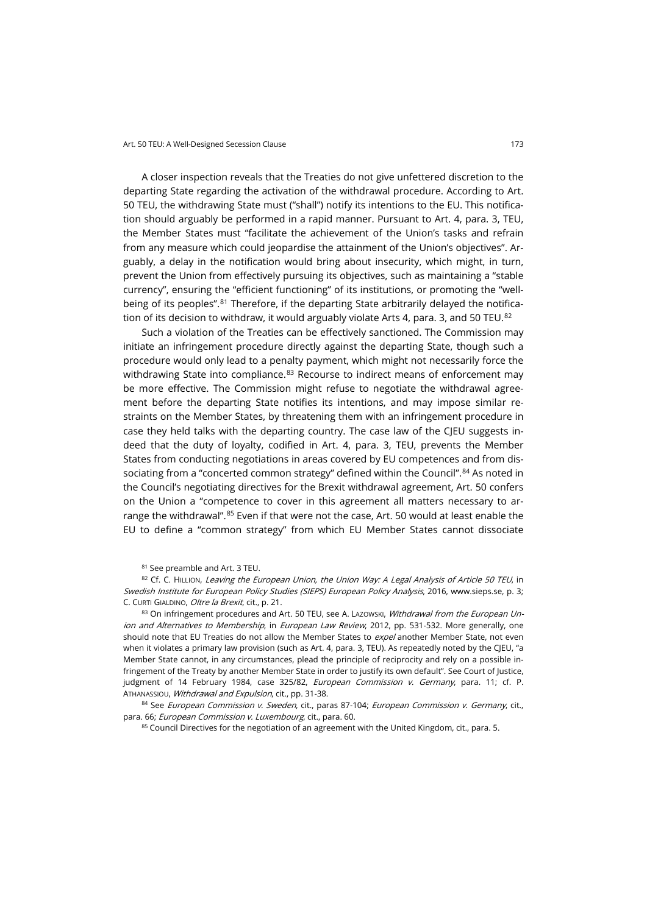A closer inspection reveals that the Treaties do not give unfettered discretion to the departing State regarding the activation of the withdrawal procedure. According to Art. 50 TEU, the withdrawing State must ("shall") notify its intentions to the EU. This notification should arguably be performed in a rapid manner. Pursuant to Art. 4, para. 3, TEU, the Member States must "facilitate the achievement of the Union's tasks and refrain from any measure which could jeopardise the attainment of the Union's objectives". Arguably, a delay in the notification would bring about insecurity, which might, in turn, prevent the Union from effectively pursuing its objectives, such as maintaining a "stable currency", ensuring the "efficient functioning" of its institutions, or promoting the "wellbeing of its peoples".[81](#page-14-0) Therefore, if the departing State arbitrarily delayed the notifica-tion of its decision to withdraw, it would arguably violate Arts 4, para. 3, and 50 TEU.<sup>[82](#page-14-1)</sup>

Such a violation of the Treaties can be effectively sanctioned. The Commission may initiate an infringement procedure directly against the departing State, though such a procedure would only lead to a penalty payment, which might not necessarily force the withdrawing State into compliance. $83$  Recourse to indirect means of enforcement may be more effective. The Commission might refuse to negotiate the withdrawal agreement before the departing State notifies its intentions, and may impose similar restraints on the Member States, by threatening them with an infringement procedure in case they held talks with the departing country. The case law of the CJEU suggests indeed that the duty of loyalty, codified in Art. 4, para. 3, TEU, prevents the Member States from conducting negotiations in areas covered by EU competences and from dis-sociating from a "concerted common strategy" defined within the Council".<sup>[84](#page-14-3)</sup> As noted in the Council's negotiating directives for the Brexit withdrawal agreement, Art. 50 confers on the Union a "competence to cover in this agreement all matters necessary to ar-range the withdrawal".<sup>[85](#page-14-4)</sup> Even if that were not the case, Art. 50 would at least enable the EU to define a "common strategy" from which EU Member States cannot dissociate

<sup>81</sup> See preamble and Art. 3 TEU.

<span id="page-14-1"></span><span id="page-14-0"></span>82 Cf. C. HILLION, Leaving the European Union, the Union Way: A Legal Analysis of Article 50 TEU, in Swedish Institute for European Policy Studies (SIEPS) European Policy Analysis, 2016, [www.sieps.se,](http://www.sieps.se/sites/default/files/Leaving%20the%20European%20Union,%20the%20Union%20way%20(2016-8epa).pdf) p. 3; C. CURTI GIALDINO, Oltre la Brexit, cit., p. 21.

<span id="page-14-2"></span>83 On infringement procedures and Art. 50 TEU, see A. Lazowski, Withdrawal from the European Union and Alternatives to Membership, in European Law Review, 2012, pp. 531-532. More generally, one should note that EU Treaties do not allow the Member States to expel another Member State, not even when it violates a primary law provision (such as Art. 4, para. 3, TEU). As repeatedly noted by the CJEU, "a Member State cannot, in any circumstances, plead the principle of reciprocity and rely on a possible infringement of the Treaty by another Member State in order to justify its own default". See Court of Justice, judgment of 14 February 1984, case 325/82, European Commission v. Germany, para. 11; cf. P. ATHANASSIOU, Withdrawal and Expulsion, cit., pp. 31-38.

<span id="page-14-4"></span><span id="page-14-3"></span>84 See European Commission v. Sweden, cit., paras 87-104; European Commission v. Germany, cit., para. 66; European Commission v. Luxembourg, cit., para. 60.

85 Council Directives for the negotiation of an agreement with the United Kingdom, cit., para. 5.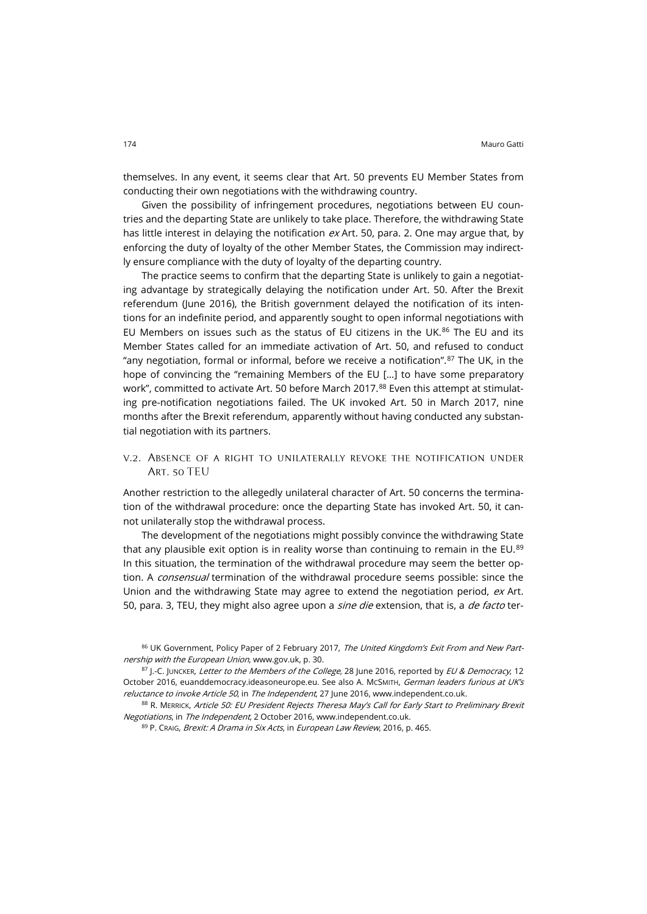themselves. In any event, it seems clear that Art. 50 prevents EU Member States from conducting their own negotiations with the withdrawing country.

Given the possibility of infringement procedures, negotiations between EU countries and the departing State are unlikely to take place. Therefore, the withdrawing State has little interest in delaying the notification  $ex$  Art. 50, para. 2. One may argue that, by enforcing the duty of loyalty of the other Member States, the Commission may indirectly ensure compliance with the duty of loyalty of the departing country.

The practice seems to confirm that the departing State is unlikely to gain a negotiating advantage by strategically delaying the notification under Art. 50. After the Brexit referendum (June 2016), the British government delayed the notification of its intentions for an indefinite period, and apparently sought to open informal negotiations with EU Members on issues such as the status of EU citizens in the UK. $86$  The EU and its Member States called for an immediate activation of Art. 50, and refused to conduct "any negotiation, formal or informal, before we receive a notification".<sup>[87](#page-15-1)</sup> The UK, in the hope of convincing the "remaining Members of the EU [...] to have some preparatory work", committed to activate Art. 50 before March 2017.<sup>[88](#page-15-2)</sup> Even this attempt at stimulating pre-notification negotiations failed. The UK invoked Art. 50 in March 2017, nine months after the Brexit referendum, apparently without having conducted any substantial negotiation with its partners.

v.2. Absence of a right to unilaterally revoke the notification under Art. 50 TEU

Another restriction to the allegedly unilateral character of Art. 50 concerns the termination of the withdrawal procedure: once the departing State has invoked Art. 50, it cannot unilaterally stop the withdrawal process.

The development of the negotiations might possibly convince the withdrawing State that any plausible exit option is in reality worse than continuing to remain in the EU.<sup>[89](#page-15-3)</sup> In this situation, the termination of the withdrawal procedure may seem the better option. A *consensual* termination of the withdrawal procedure seems possible: since the Union and the withdrawing State may agree to extend the negotiation period, ex Art. 50, para. 3, TEU, they might also agree upon a *sine die* extension, that is, a *de facto* ter-

<span id="page-15-0"></span><sup>86</sup> UK Government, Policy Paper of 2 February 2017, The United Kingdom's Exit From and New Partnership with the European Union[, www.gov.uk,](https://www.gov.uk/government/publications/the-united-kingdoms-exit-from-and-new-partnership-with-the-european-union-white-paper) p. 30.

<span id="page-15-1"></span><sup>87</sup> J.-C. JUNCKER, Letter to the Members of the College, 28 June 2016, reported by EU & Democracy, 12 October 2016, [euanddemocracy.ideasoneurope.eu.](http://euanddemocracy.ideasoneurope.eu/2016/10/12/exclusive-presidential-order-ec-president-junker-brexit-negotiation-teu-art-50-notification) See also A. McSMITH, German leaders furious at UK's reluctance to invoke Article 50, in The Independent, 27 June 2016[, www.independent.co.uk.](http://www.independent.co.uk/news/uk/home-news/article-50-brexit-eu-referendum-result-german-eu-latest-news-leave-european-union-a7105946.html)

<span id="page-15-3"></span><span id="page-15-2"></span><sup>88</sup> R. MERRICK, Article 50: EU President Rejects Theresa May's Call for Early Start to Preliminary Brexit Negotiations, in The Independent, 2 October 2016[, www.independent.co.uk.](http://www.independent.co.uk/news/uk/politics/article-50-brexit-theresa-may-donald-tusk-eu-european-council-president-reject-preliminary-a7341686.html)

<sup>89</sup> P. CRAIG, Brexit: A Drama in Six Acts, in European Law Review, 2016, p. 465.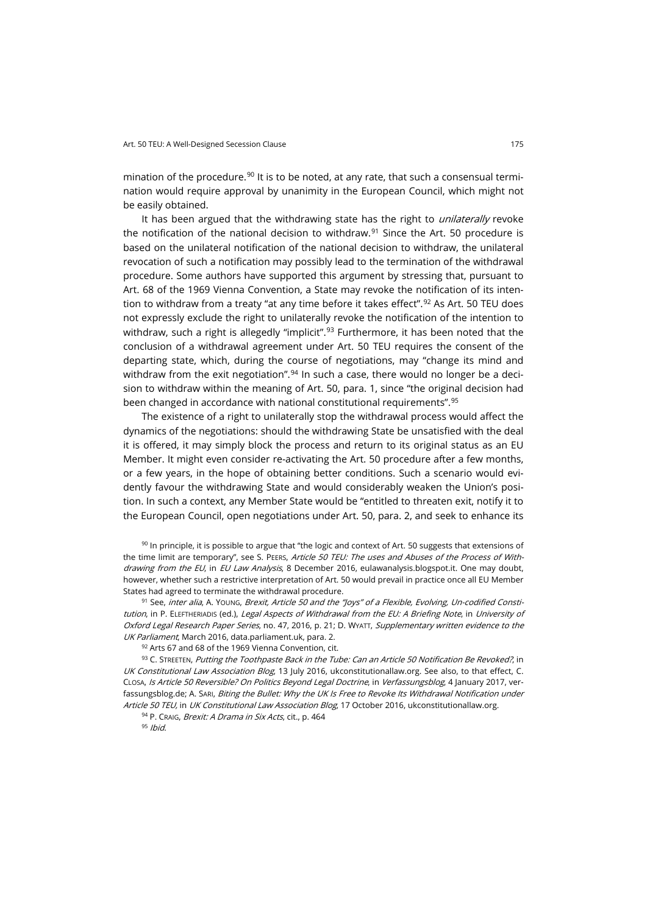mination of the procedure.<sup>[90](#page-16-0)</sup> It is to be noted, at any rate, that such a consensual termination would require approval by unanimity in the European Council, which might not be easily obtained.

It has been argued that the withdrawing state has the right to *unilaterally* revoke the notification of the national decision to withdraw. [91](#page-16-1) Since the Art. 50 procedure is based on the unilateral notification of the national decision to withdraw, the unilateral revocation of such a notification may possibly lead to the termination of the withdrawal procedure. Some authors have supported this argument by stressing that, pursuant to Art. 68 of the 1969 Vienna Convention, a State may revoke the notification of its inten-tion to withdraw from a treaty "at any time before it takes effect".<sup>[92](#page-16-2)</sup> As Art. 50 TEU does not expressly exclude the right to unilaterally revoke the notification of the intention to withdraw, such a right is allegedly "implicit".<sup>[93](#page-16-3)</sup> Furthermore, it has been noted that the conclusion of a withdrawal agreement under Art. 50 TEU requires the consent of the departing state, which, during the course of negotiations, may "change its mind and withdraw from the exit negotiation". $94$  In such a case, there would no longer be a decision to withdraw within the meaning of Art. 50, para. 1, since "the original decision had been changed in accordance with national constitutional requirements".[95](#page-16-5)

The existence of a right to unilaterally stop the withdrawal process would affect the dynamics of the negotiations: should the withdrawing State be unsatisfied with the deal it is offered, it may simply block the process and return to its original status as an EU Member. It might even consider re-activating the Art. 50 procedure after a few months, or a few years, in the hope of obtaining better conditions. Such a scenario would evidently favour the withdrawing State and would considerably weaken the Union's position. In such a context, any Member State would be "entitled to threaten exit, notify it to the European Council, open negotiations under Art. 50, para. 2, and seek to enhance its

<span id="page-16-0"></span> $90$  In principle, it is possible to argue that "the logic and context of Art. 50 suggests that extensions of the time limit are temporary", see S. PEERS, Article 50 TEU: The uses and Abuses of the Process of Withdrawing from the EU, in EU Law Analysis, 8 December 2016, [eulawanalysis.blogspot.it.](https://eulawanalysis.blogspot.it/2014/12/article-50-teu-uses-and-abuses-of.html) One may doubt, however, whether such a restrictive interpretation of Art. 50 would prevail in practice once all EU Member States had agreed to terminate the withdrawal procedure.

<span id="page-16-1"></span>91 See, inter alia, A. Young, Brexit, Article 50 and the "Joys" of a Flexible, Evolving, Un-codified Constitution, in P. ELEFTHERIADIS (ed.), Legal Aspects of Withdrawal from the EU: A Briefing Note, in University of Oxford Legal Research Paper Series, no. 47, 2016, p. 21; D. WYATT, Supplementary written evidence to the UK Parliament, March 2016[, data.parliament.uk,](http://data.parliament.uk/writtenevidence/committeeevidence.svc/evidencedocument/european-union-committee/the-process-of-leaving-the-eu/written/32079.html) para. 2.

92 Arts 67 and 68 of the 1969 Vienna Convention, cit.

<span id="page-16-5"></span><span id="page-16-4"></span><span id="page-16-3"></span><span id="page-16-2"></span>93 C. STREETEN, Putting the Toothpaste Back in the Tube: Can an Article 50 Notification Be Revoked?, in UK Constitutional Law Association Blog, 13 July 2016, [ukconstitutionallaw.org.](https://ukconstitutionallaw.org/2016/07/13/charles-streeten-putting-the-toothpaste-back-in-the-tube-can-an-article-50-notification-be-revoked/) See also, to that effect, C. CLOSA, Is Article 50 Reversible? On Politics Beyond Legal Doctrine, in Verfassungsblog, 4 January 2017, [ver](https://verfassungsblog.de/is-article-50-reversible-on-politics-beyond-legal-doctrineverfassungsblog.de/is-article-50-reversible-on-politics-beyond-legal-doctrine)[fassungsblog.de;](https://verfassungsblog.de/is-article-50-reversible-on-politics-beyond-legal-doctrineverfassungsblog.de/is-article-50-reversible-on-politics-beyond-legal-doctrine) A. SARI, Biting the Bullet: Why the UK Is Free to Revoke Its Withdrawal Notification under Article 50 TEU, in UK Constitutional Law Association Blog, 17 October 2016, [ukconstitutionallaw.org.](https://ukconstitutionallaw.org/2016/10/17/aurel-sari-biting-the-bullet-why-the-uk-is-free-to-revoke-its-withdrawal-notification-under-article-50-teu)

94 P. CRAIG, Brexit: A Drama in Six Acts, cit., p. 464

 $95$  Ibid.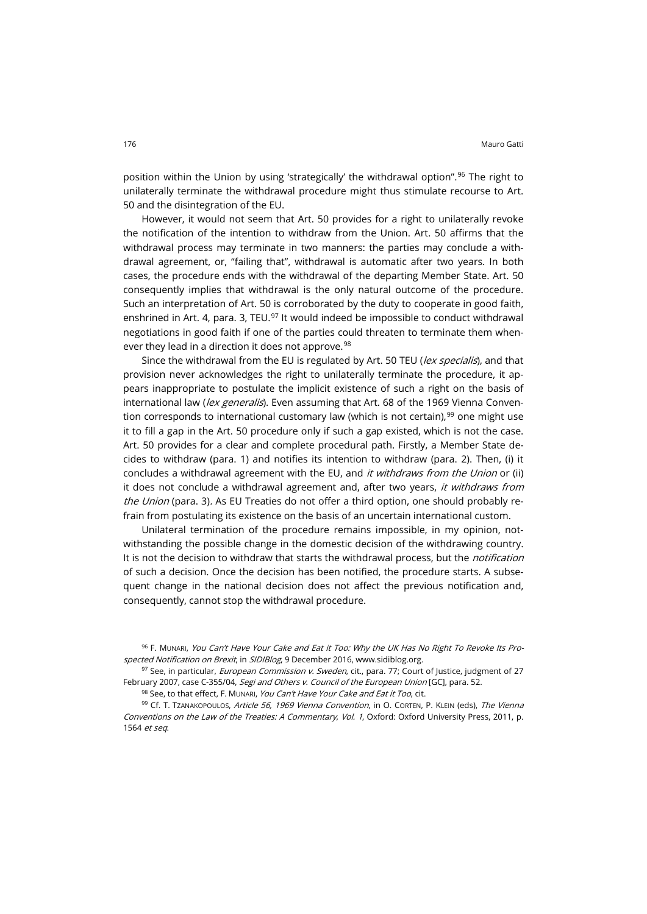position within the Union by using 'strategically' the withdrawal option".<sup>[96](#page-17-0)</sup> The right to unilaterally terminate the withdrawal procedure might thus stimulate recourse to Art. 50 and the disintegration of the EU.

However, it would not seem that Art. 50 provides for a right to unilaterally revoke the notification of the intention to withdraw from the Union. Art. 50 affirms that the withdrawal process may terminate in two manners: the parties may conclude a withdrawal agreement, or, "failing that", withdrawal is automatic after two years. In both cases, the procedure ends with the withdrawal of the departing Member State. Art. 50 consequently implies that withdrawal is the only natural outcome of the procedure. Such an interpretation of Art. 50 is corroborated by the duty to cooperate in good faith, enshrined in Art. 4, para. 3, TEU.<sup>[97](#page-17-1)</sup> It would indeed be impossible to conduct withdrawal negotiations in good faith if one of the parties could threaten to terminate them when-ever they lead in a direction it does not approve.<sup>[98](#page-17-2)</sup>

Since the withdrawal from the EU is regulated by Art. 50 TEU (lex specialis), and that provision never acknowledges the right to unilaterally terminate the procedure, it appears inappropriate to postulate the implicit existence of such a right on the basis of international law (*lex generalis*). Even assuming that Art. 68 of the 1969 Vienna Convention corresponds to international customary law (which is not certain), $99$  one might use it to fill a gap in the Art. 50 procedure only if such a gap existed, which is not the case. Art. 50 provides for a clear and complete procedural path. Firstly, a Member State decides to withdraw (para. 1) and notifies its intention to withdraw (para. 2). Then, (i) it concludes a withdrawal agreement with the EU, and *it withdraws from the Union* or (ii) it does not conclude a withdrawal agreement and, after two years, it withdraws from the Union (para. 3). As EU Treaties do not offer a third option, one should probably refrain from postulating its existence on the basis of an uncertain international custom.

Unilateral termination of the procedure remains impossible, in my opinion, notwithstanding the possible change in the domestic decision of the withdrawing country. It is not the decision to withdraw that starts the withdrawal process, but the *notification* of such a decision. Once the decision has been notified, the procedure starts. A subsequent change in the national decision does not affect the previous notification and, consequently, cannot stop the withdrawal procedure.

<span id="page-17-0"></span>96 F. MUNARI, You Can't Have Your Cake and Eat it Too: Why the UK Has No Right To Revoke Its Prospected Notification on Brexit, in SIDIBlog, 9 December 2016, [www.sidiblog.org.](http://www.sidiblog.org/2016/12/09/you-cant-have-your-cake-and-eat-it-too-why-the-uk-has-no-right-to-revoke-its-prospected-notification-on-brexit)

<span id="page-17-1"></span> $97$  See, in particular, *European Commission v. Sweden*, cit., para. 77; Court of Justice, judgment of 27 February 2007, case C-355/04, Segi and Others v. Council of the European Union [GC], para. 52.

<span id="page-17-3"></span><span id="page-17-2"></span>99 Cf. T. TZANAKOPOULOS, Article 56, 1969 Vienna Convention, in O. CORTEN, P. KLEIN (eds), The Vienna Conventions on the Law of the Treaties: A Commentary, Vol. 1, Oxford: Oxford University Press, 2011, p. 1564 et seq.

<sup>98</sup> See, to that effect, F. MUNARI, You Can't Have Your Cake and Eat it Too, cit.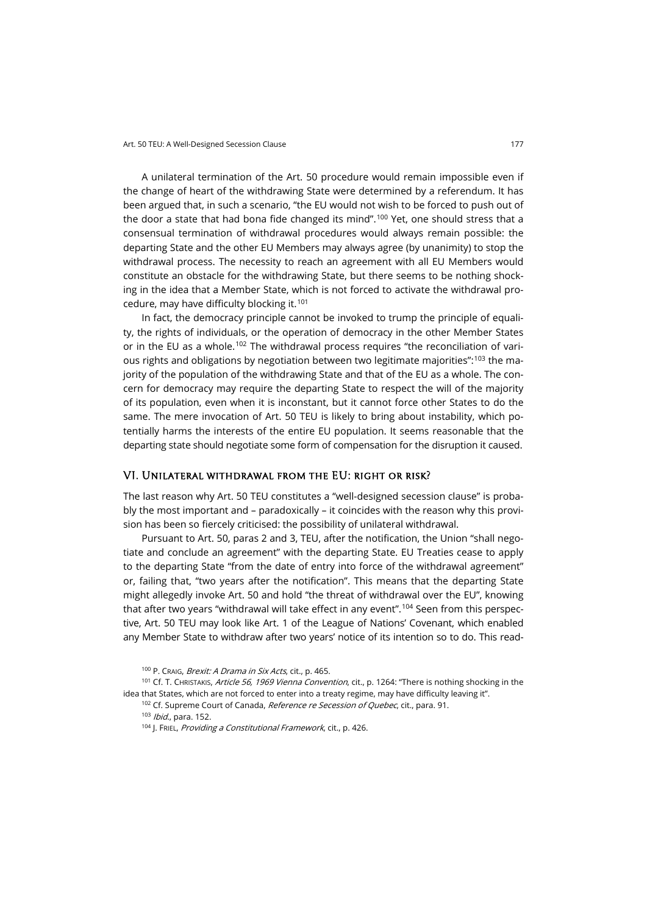A unilateral termination of the Art. 50 procedure would remain impossible even if the change of heart of the withdrawing State were determined by a referendum. It has been argued that, in such a scenario, "the EU would not wish to be forced to push out of the door a state that had bona fide changed its mind".<sup>[100](#page-18-0)</sup> Yet, one should stress that a consensual termination of withdrawal procedures would always remain possible: the departing State and the other EU Members may always agree (by unanimity) to stop the withdrawal process. The necessity to reach an agreement with all EU Members would constitute an obstacle for the withdrawing State, but there seems to be nothing shocking in the idea that a Member State, which is not forced to activate the withdrawal procedure, may have difficulty blocking it.[101](#page-18-1)

In fact, the democracy principle cannot be invoked to trump the principle of equality, the rights of individuals, or the operation of democracy in the other Member States or in the EU as a whole.[102](#page-18-2) The withdrawal process requires "the reconciliation of vari-ous rights and obligations by negotiation between two legitimate majorities":<sup>[103](#page-18-3)</sup> the majority of the population of the withdrawing State and that of the EU as a whole. The concern for democracy may require the departing State to respect the will of the majority of its population, even when it is inconstant, but it cannot force other States to do the same. The mere invocation of Art. 50 TEU is likely to bring about instability, which potentially harms the interests of the entire EU population. It seems reasonable that the departing state should negotiate some form of compensation for the disruption it caused.

### VI. Unilateral withdrawal from the EU: right or risk?

The last reason why Art. 50 TEU constitutes a "well-designed secession clause" is probably the most important and – paradoxically – it coincides with the reason why this provision has been so fiercely criticised: the possibility of unilateral withdrawal.

Pursuant to Art. 50, paras 2 and 3, TEU, after the notification, the Union "shall negotiate and conclude an agreement" with the departing State. EU Treaties cease to apply to the departing State "from the date of entry into force of the withdrawal agreement" or, failing that, "two years after the notification". This means that the departing State might allegedly invoke Art. 50 and hold "the threat of withdrawal over the EU", knowing that after two years "withdrawal will take effect in any event".<sup>[104](#page-18-4)</sup> Seen from this perspective, Art. 50 TEU may look like Art. 1 of the League of Nations' Covenant, which enabled any Member State to withdraw after two years' notice of its intention so to do. This read-

<sup>100</sup> P. CRAIG, Brexit: A Drama in Six Acts, cit., p. 465.

<span id="page-18-4"></span><span id="page-18-3"></span><span id="page-18-2"></span><span id="page-18-1"></span><span id="page-18-0"></span><sup>101</sup> Cf. T. CHRISTAKIS, Article 56, 1969 Vienna Convention, cit., p. 1264: "There is nothing shocking in the idea that States, which are not forced to enter into a treaty regime, may have difficulty leaving it".

<sup>102</sup> Cf. Supreme Court of Canada, Reference re Secession of Quebec, cit., para. 91. <sup>103</sup> Ibid., para. 152.

<sup>&</sup>lt;sup>104</sup> J. FRIEL, Providing a Constitutional Framework, cit., p. 426.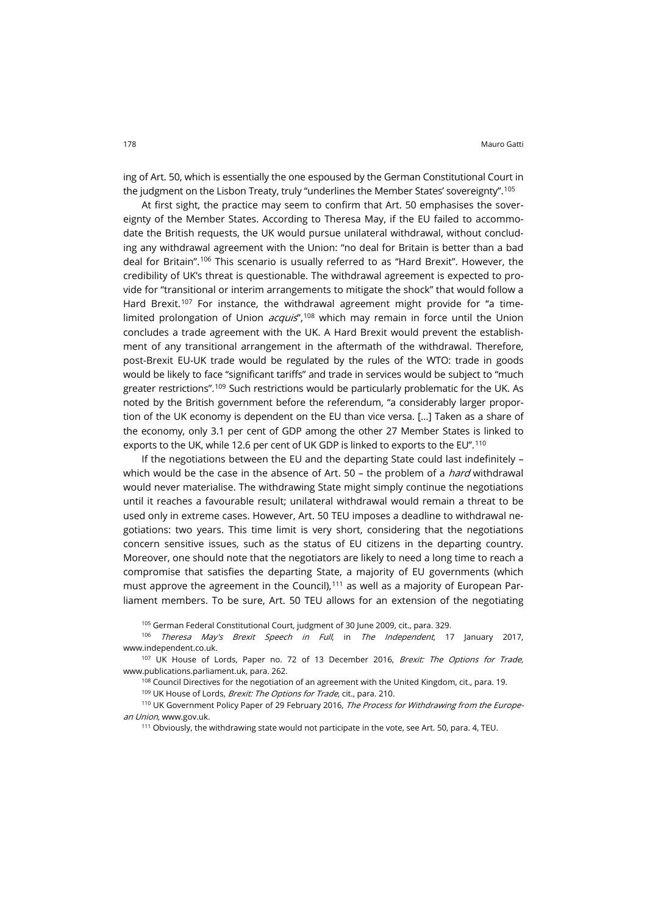ing of Art. 50, which is essentially the one espoused by the German Constitutional Court in the judgment on the Lisbon Treaty, truly "underlines the Member States' sovereignty".<sup>[105](#page-19-0)</sup>

At first sight, the practice may seem to confirm that Art. 50 emphasises the sovereignty of the Member States. According to Theresa May, if the EU failed to accommodate the British requests, the UK would pursue unilateral withdrawal, without concluding any withdrawal agreement with the Union: "no deal for Britain is better than a bad deal for Britain". [106](#page-19-1) This scenario is usually referred to as "Hard Brexit". However, the credibility of UK's threat is questionable. The withdrawal agreement is expected to provide for "transitional or interim arrangements to mitigate the shock" that would follow a Hard Brexit. [107](#page-19-2) For instance, the withdrawal agreement might provide for "a timelimited prolongation of Union *acquis*",<sup>[108](#page-19-3)</sup> which may remain in force until the Union concludes a trade agreement with the UK. A Hard Brexit would prevent the establishment of any transitional arrangement in the aftermath of the withdrawal. Therefore, post-Brexit EU-UK trade would be regulated by the rules of the WTO: trade in goods would be likely to face "significant tariffs" and trade in services would be subject to "much greater restrictions".<sup>[109](#page-19-4)</sup> Such restrictions would be particularly problematic for the UK. As noted by the British government before the referendum, "a considerably larger proportion of the UK economy is dependent on the EU than vice versa. […] Taken as a share of the economy, only 3.1 per cent of GDP among the other 27 Member States is linked to exports to the UK, while 12.6 per cent of UK GDP is linked to exports to the EU".[110](#page-19-5)

If the negotiations between the EU and the departing State could last indefinitely – which would be the case in the absence of Art. 50 – the problem of a *hard* withdrawal would never materialise. The withdrawing State might simply continue the negotiations until it reaches a favourable result; unilateral withdrawal would remain a threat to be used only in extreme cases. However, Art. 50 TEU imposes a deadline to withdrawal negotiations: two years. This time limit is very short, considering that the negotiations concern sensitive issues, such as the status of EU citizens in the departing country. Moreover, one should note that the negotiators are likely to need a long time to reach a compromise that satisfies the departing State, a majority of EU governments (which must approve the agreement in the Council),<sup>[111](#page-19-6)</sup> as well as a majority of European Parliament members. To be sure, Art. 50 TEU allows for an extension of the negotiating

<sup>105</sup> German Federal Constitutional Court, judgment of 30 June 2009, cit., para. 329.

<span id="page-19-1"></span><span id="page-19-0"></span>106 Theresa May's Brexit Speech in Full, in The Independent, 17 January 2017, [www.independent.co.uk.](http://www.independent.co.uk/news/uk/home-news/full-text-theresa-may-brexit-speech-global-britain-eu-european-union-latest-a7531361.html)

<span id="page-19-3"></span><span id="page-19-2"></span><sup>107</sup> UK House of Lords, Paper no. 72 of 13 December 2016, *Brexit: The Options for Trade*, [www.publications.parliament.uk,](https://www.publications.parliament.uk/pa/ld201617/ldselect/ldeucom/72/7202.htm) para. 262.

<sup>108</sup> Council Directives for the negotiation of an agreement with the United Kingdom, cit., para. 19.

109 UK House of Lords, Brexit: The Options for Trade, cit., para. 210.

<span id="page-19-6"></span><span id="page-19-5"></span><span id="page-19-4"></span>110 UK Government Policy Paper of 29 February 2016, The Process for Withdrawing from the European Union, [www.gov.uk.](https://www.gov.uk/government/publications/the-process-for-withdrawing-from-the-european-union)

<sup>111</sup> Obviously, the withdrawing state would not participate in the vote, see Art. 50, para. 4, TEU.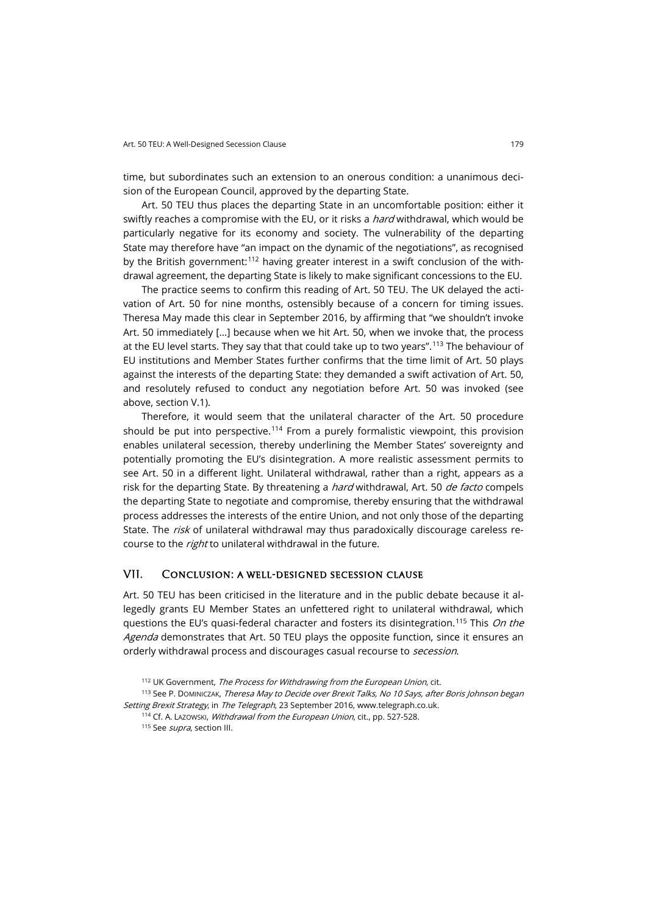time, but subordinates such an extension to an onerous condition: a unanimous decision of the European Council, approved by the departing State.

Art. 50 TEU thus places the departing State in an uncomfortable position: either it swiftly reaches a compromise with the EU, or it risks a *hard* withdrawal, which would be particularly negative for its economy and society. The vulnerability of the departing State may therefore have "an impact on the dynamic of the negotiations", as recognised by the British government:<sup>[112](#page-20-0)</sup> having greater interest in a swift conclusion of the withdrawal agreement, the departing State is likely to make significant concessions to the EU.

The practice seems to confirm this reading of Art. 50 TEU. The UK delayed the activation of Art. 50 for nine months, ostensibly because of a concern for timing issues. Theresa May made this clear in September 2016, by affirming that "we shouldn't invoke Art. 50 immediately […] because when we hit Art. 50, when we invoke that, the process at the EU level starts. They say that that could take up to two years".<sup>[113](#page-20-1)</sup> The behaviour of EU institutions and Member States further confirms that the time limit of Art. 50 plays against the interests of the departing State: they demanded a swift activation of Art. 50, and resolutely refused to conduct any negotiation before Art. 50 was invoked (see above, section V.1).

Therefore, it would seem that the unilateral character of the Art. 50 procedure should be put into perspective.<sup>[114](#page-20-2)</sup> From a purely formalistic viewpoint, this provision enables unilateral secession, thereby underlining the Member States' sovereignty and potentially promoting the EU's disintegration. A more realistic assessment permits to see Art. 50 in a different light. Unilateral withdrawal, rather than a right, appears as a risk for the departing State. By threatening a *hard* withdrawal, Art. 50 de facto compels the departing State to negotiate and compromise, thereby ensuring that the withdrawal process addresses the interests of the entire Union, and not only those of the departing State. The risk of unilateral withdrawal may thus paradoxically discourage careless recourse to the *right* to unilateral withdrawal in the future.

## VII. Conclusion: a well-designed secession clause

Art. 50 TEU has been criticised in the literature and in the public debate because it allegedly grants EU Member States an unfettered right to unilateral withdrawal, which questions the EU's quasi-federal character and fosters its disintegration.<sup>[115](#page-20-3)</sup> This *On the* Agenda demonstrates that Art. 50 TEU plays the opposite function, since it ensures an orderly withdrawal process and discourages casual recourse to *secession*.

<sup>112</sup> UK Government, The Process for Withdrawing from the European Union, cit.

<span id="page-20-3"></span><span id="page-20-2"></span><span id="page-20-1"></span><span id="page-20-0"></span><sup>113</sup> See P. DOMINICZAK, Theresa May to Decide over Brexit Talks, No 10 Says, after Boris Johnson began Setting Brexit Strategy, in The Telegraph, 23 September 2016, www.telegraph.co.uk.

<sup>114</sup> Cf. A. Lazowski, Withdrawal from the European Union, cit., pp. 527-528.

<sup>115</sup> See *supra*, section III.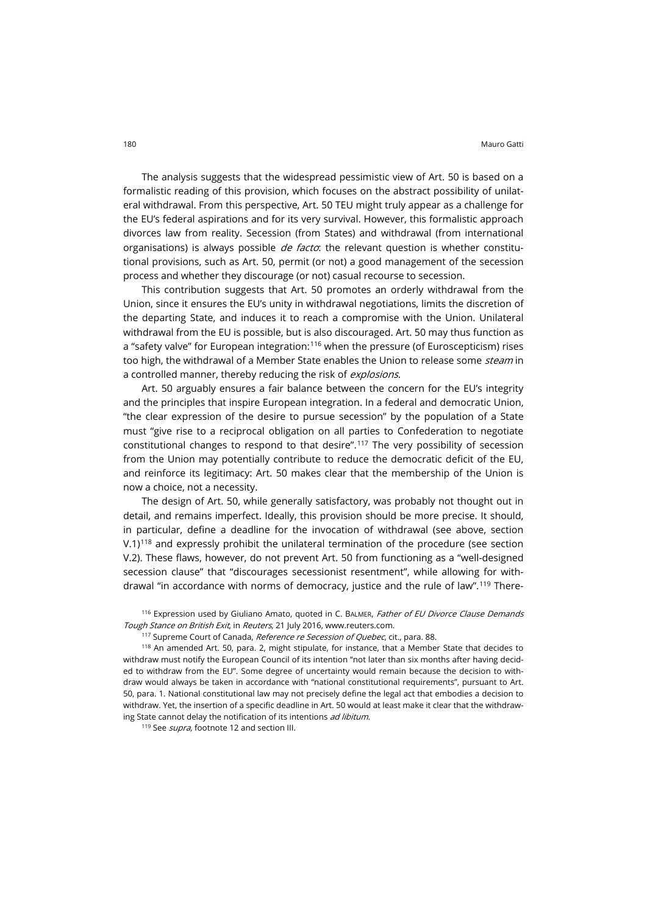The analysis suggests that the widespread pessimistic view of Art. 50 is based on a formalistic reading of this provision, which focuses on the abstract possibility of unilateral withdrawal. From this perspective, Art. 50 TEU might truly appear as a challenge for the EU's federal aspirations and for its very survival. However, this formalistic approach divorces law from reality. Secession (from States) and withdrawal (from international organisations) is always possible  $de$  facto: the relevant question is whether constitutional provisions, such as Art. 50, permit (or not) a good management of the secession process and whether they discourage (or not) casual recourse to secession.

This contribution suggests that Art. 50 promotes an orderly withdrawal from the Union, since it ensures the EU's unity in withdrawal negotiations, limits the discretion of the departing State, and induces it to reach a compromise with the Union. Unilateral withdrawal from the EU is possible, but is also discouraged. Art. 50 may thus function as a "safety valve" for European integration:<sup>[116](#page-21-0)</sup> when the pressure (of Euroscepticism) rises too high, the withdrawal of a Member State enables the Union to release some *steam* in a controlled manner, thereby reducing the risk of *explosions*.

Art. 50 arguably ensures a fair balance between the concern for the EU's integrity and the principles that inspire European integration. In a federal and democratic Union, "the clear expression of the desire to pursue secession" by the population of a State must "give rise to a reciprocal obligation on all parties to Confederation to negotiate constitutional changes to respond to that desire". [117](#page-21-1) The very possibility of secession from the Union may potentially contribute to reduce the democratic deficit of the EU, and reinforce its legitimacy: Art. 50 makes clear that the membership of the Union is now a choice, not a necessity.

The design of Art. 50, while generally satisfactory, was probably not thought out in detail, and remains imperfect. Ideally, this provision should be more precise. It should, in particular, define a deadline for the invocation of withdrawal (see above, section  $V.1$ <sup>[118](#page-21-2)</sup> and expressly prohibit the unilateral termination of the procedure (see section V.2). These flaws, however, do not prevent Art. 50 from functioning as a "well-designed secession clause" that "discourages secessionist resentment", while allowing for withdrawal "in accordance with norms of democracy, justice and the rule of law".[119](#page-21-3) There-

<span id="page-21-0"></span><sup>116</sup> Expression used by Giuliano Amato, quoted in C. BALMER, Father of EU Divorce Clause Demands Tough Stance on British Exit, in Reuters, 21 July 2016, www.reuters.com.

117 Supreme Court of Canada, Reference re Secession of Quebec, cit., para. 88.

<span id="page-21-2"></span><span id="page-21-1"></span><sup>118</sup> An amended Art. 50, para. 2, might stipulate, for instance, that a Member State that decides to withdraw must notify the European Council of its intention "not later than six months after having decided to withdraw from the EU". Some degree of uncertainty would remain because the decision to withdraw would always be taken in accordance with "national constitutional requirements", pursuant to Art. 50, para. 1. National constitutional law may not precisely define the legal act that embodies a decision to withdraw. Yet, the insertion of a specific deadline in Art. 50 would at least make it clear that the withdrawing State cannot delay the notification of its intentions ad libitum.

<span id="page-21-3"></span><sup>119</sup> See *supra*, footnote 12 and section III.